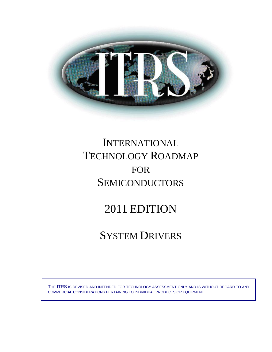

# INTERNATIONAL TECHNOLOGY ROADMAP FOR **SEMICONDUCTORS**

# 2011 EDITION

# SYSTEM DRIVERS

THE ITRS IS DEVISED AND INTENDED FOR TECHNOLOGY ASSESSMENT ONLY AND IS WITHOUT REGARD TO ANY COMMERCIAL CONSIDERATIONS PERTAINING TO INDIVIDUAL PRODUCTS OR EQUIPMENT.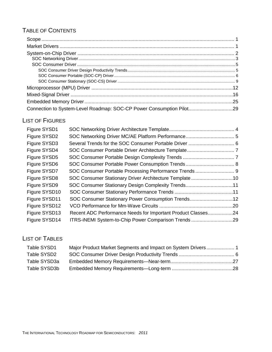# TABLE OF CONTENTS

| Connection to System-Level Roadmap: SOC-CP Power Consumption Pilot29 |  |
|----------------------------------------------------------------------|--|

# LIST OF FIGURES

| SOC Consumer Stationary Driver Architecture Template10<br>SOC Consumer Stationary Design Complexity Trends11<br>SOC Consumer Stationary Power Consumption Trends12<br>Recent ADC Performance Needs for Important Product Classes24<br>ITRS-iNEMI System-to-Chip Power Comparison Trends 29 |
|--------------------------------------------------------------------------------------------------------------------------------------------------------------------------------------------------------------------------------------------------------------------------------------------|

# LIST OF TABLES

| Table SYSD1  |  |
|--------------|--|
| Table SYSD2  |  |
| Table SYSD3a |  |
| Table SYSD3b |  |
|              |  |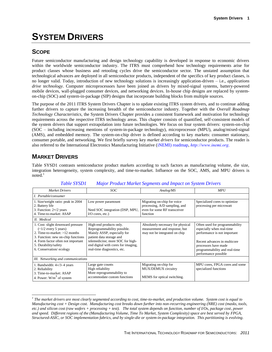# **SYSTEM DRIVERS**

# <span id="page-2-0"></span>**SCOPE**

Future semiconductor manufacturing and design technology capability is developed in response to economic drivers within the worldwide semiconductor industry. The ITRS must comprehend how technology requirements arise for product classes whose business and retooling cycles drive the semiconductor sector. The unstated assumption that technological advances are deployed in all semiconductor products, independent of the specifics of key product classes, is no longer valid. Today, introduction of new technology solutions is increasingly application-driven – i.e., *applications drive technology*. Computer microprocessors have been joined as drivers by mixed-signal systems, battery-powered mobile devices, wall-plugged consumer devices, and networking devices. In-house chip designs are replaced by systemon-chip (SOC) and system-in-package (SIP) designs that incorporate building blocks from multiple sources.

The purpose of the 2011 ITRS System Drivers Chapter is to update existing ITRS system drivers, and to continue adding further drivers to capture the increasing breadth of the semiconductor industry. Together with the *Overall Roadmap Technology Characteristics*, the System Drivers Chapter provides a consistent framework and motivation for technology requirements across the respective ITRS technology areas. This chapter consists of quantified, self-consistent models of the system drivers that support extrapolation into future technologies. We focus on four system drivers: system-on-chip (SOC – including increasing mentions of system-in-package technology), microprocessor (MPU), analog/mixed-signal (AMS), and embedded memory. The system-on-chip driver is defined according to key markets: consumer stationary, consumer portable, and networking. We first briefly survey key *market drivers* for semiconductor products. The reader is also referred to the International Electronics Manufacturing Initiative (iNEMI) roadmap, *[http://www.inemi.org](http://www.inemi.org./).*

# <span id="page-2-1"></span>**MARKET DRIVERS**

l

Table SYSD1 contrasts semiconductor product markets according to such factors as manufacturing volume, die size, integration heterogeneity, system complexity, and time-to-market. Influence on the SOC, AMS, and MPU drivers is  $noted.<sup>1</sup>$ 

<span id="page-2-2"></span>

| <b>Market Drivers</b>                                                                                                                                                                                                         | SOC                                                                                                                                                                                                                         | Analog/MS                                                                                                | <b>MPU</b>                                                                                                                                                                                                   |
|-------------------------------------------------------------------------------------------------------------------------------------------------------------------------------------------------------------------------------|-----------------------------------------------------------------------------------------------------------------------------------------------------------------------------------------------------------------------------|----------------------------------------------------------------------------------------------------------|--------------------------------------------------------------------------------------------------------------------------------------------------------------------------------------------------------------|
| I. Portable/consumer                                                                                                                                                                                                          |                                                                                                                                                                                                                             |                                                                                                          |                                                                                                                                                                                                              |
| 1. Size/weight ratio: peak in 2004<br>2. Battery life<br>3. Function: $2 \times 2$ years<br>4. Time-to-market: ASAP                                                                                                           | Low power paramount<br>Need SOC integration (DSP, MPU,<br>$I/O$ cores, etc.)                                                                                                                                                | Migrating on-chip for voice<br>processing, A/D sampling, and<br>even for some RF transceiver<br>function | Specialized cores to optimize<br>processing per microwatt                                                                                                                                                    |
| II. Medical                                                                                                                                                                                                                   |                                                                                                                                                                                                                             |                                                                                                          |                                                                                                                                                                                                              |
| 1. Cost: slight downward pressure<br>$(-1/2$ every 5 years)<br>2. Time-to-market: $>12$ months<br>3. Function: new on-chip functions<br>4. Form factor often not important<br>5. Durability/safety<br>6. Conservation/ecology | High-end products only.<br>Reprogrammability possible.<br>Mainly ASSP, especially for<br>patient data storage and<br>telemedicine; more SOC for high-<br>end digital with cores for imaging,<br>real-time diagnostics, etc. | Absolutely necessary for physical<br>measurement and response, but<br>may not be integrated on chip      | Often used for programmability<br>especially when real-time<br>performance is not important<br>Recent advances in multicore<br>processors have made<br>programmability and real-time<br>performance possible |
| III. Networking and communications                                                                                                                                                                                            |                                                                                                                                                                                                                             |                                                                                                          |                                                                                                                                                                                                              |
| 1. Bandwidth: $4 \times 3 - 4$ years<br>2. Reliability<br>3. Time-to-market: ASAP<br>4. Power: $W/m3$ of system                                                                                                               | Large gate counts<br>High reliability<br>More reprogrammability to<br>accommodate custom functions                                                                                                                          | Migrating on-chip for<br>MUX/DEMUX circuitry<br>MEMS for optical switching.                              | MPU cores, FPGA cores and some<br>specialized functions                                                                                                                                                      |

## *Table SYSD1 Major Product Market Segments and Impact on System Drivers*

*<sup>1</sup> The market drivers are most clearly segmented according to cost, time-to-market, and production volume. System cost is equal to Manufacturing cost + Design cost. Manufacturing cost breaks down further into non-recurring engineering (NRE) cost (masks, tools, etc.) and silicon cost (raw wafers + processing + test). The total system depends on function, number of I/Os, package cost, power and speed. Different regions of the (Manufacturing Volume, Time To Market, System Complexity) space are best served by FPGA, Structured-ASIC, or SOC implementation fabrics, and by single-die or system-in-package integration. This partitioning is evolving.*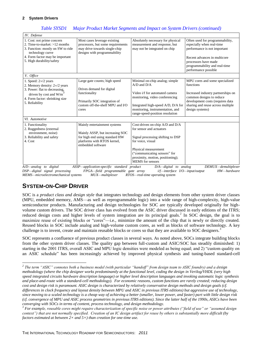*Table SYSD1 Major Product Market Segments and Impact on System Drivers (continued)*

| IV. Defense                                                                                                                                                                                        |                                                                                                                                                          |                                                                                                                                                                                                                                              |                                                                                                                                                                                                               |
|----------------------------------------------------------------------------------------------------------------------------------------------------------------------------------------------------|----------------------------------------------------------------------------------------------------------------------------------------------------------|----------------------------------------------------------------------------------------------------------------------------------------------------------------------------------------------------------------------------------------------|---------------------------------------------------------------------------------------------------------------------------------------------------------------------------------------------------------------|
| 1. Cost: not prime concern<br>2. Time-to-market: $>12$ months<br>3. Function: mostly on SW to ride<br>technology curve<br>4. Form factor may be important<br>5. High durability/safety             | Most cases leverage existing<br>processors, but some requirements<br>may drive towards single-chip<br>designs with programmability                       | Absolutely necessary for physical<br>measurement and response, but<br>may not be integrated on chip                                                                                                                                          | Often used for programmability,<br>especially when real-time<br>performance is not important<br>Recent advances in multicore<br>processors have made<br>programmability and real-time<br>performance possible |
| V. Office                                                                                                                                                                                          |                                                                                                                                                          |                                                                                                                                                                                                                                              |                                                                                                                                                                                                               |
| 1. Speed: $2\times/2$ years<br>2. Memory density: $2\times/2$ years<br>3. Power: flat to decreasing,<br>driven by cost and $W/m$ <sup>-1</sup><br>4. Form factor: shrinking size<br>5. Reliability | Large gate counts; high speed<br>Drives demand for digital<br>functionality<br>Primarily SOC integration of<br>custom off-the-shelf MPU and I/O<br>cores | Minimal on-chip analog; simple<br>$A/D$ and $D/A$<br>Video i/f for automated camera<br>monitoring, video conferencing<br>Integrated high-speed A/D, D/A for<br>monitoring, instrumentation, and<br>range-speed-position resolution           | MPU cores and some specialized<br>functions<br>Increased industry partnerships on<br>common designs to reduce<br>development costs (requires data<br>sharing and reuse across multiple<br>design systems)     |
| VI. Automotive                                                                                                                                                                                     |                                                                                                                                                          |                                                                                                                                                                                                                                              |                                                                                                                                                                                                               |
| 1. Functionality<br>2. Ruggedness (external<br>environment, noise)<br>3. Reliability and safety<br>4. Cost                                                                                         | Mainly entertainment systems<br>Mainly ASSP, but increasing SOC<br>for high end using standard HW<br>platforms with RTOS kernel,<br>embedded software    | Cost-driven on-chip A/D and D/A<br>for sensor and actuators<br>Signal processing shifting to DSP<br>for voice, visual<br>Physical measurement<br>("communicating sensors" for<br>proximity, motion, positioning);<br><b>MEMS</b> for sensors |                                                                                                                                                                                                               |

*A/D—analog to digital ASSP—application-specific standard product D/A—digital to analog DEMUX—demultiplexer DSP—digital signal processing FPGA—field programmable gate array i/f—interface I/O—input/output HW—hardware MEMS—microelectromechanical systems MUX—multiplexer RTOS—real-time operating system* 

# <span id="page-3-0"></span>**SYSTEM-ON-CHIP DRIVER**

l

SOC is a *product class and design style* that integrates technology and design elements from other system driver classes (MPU, embedded memory, AMS—as well as reprogrammable logic) into a wide range of high-complexity, high-value semiconductor products. Manufacturing and design technologies for SOC are typically developed originally for highvolume custom drivers. The SOC driver class has evolved from the ASIC driver discussed in early editions of the ITRS; reduced design costs and higher levels of system integration are its principal goals.<sup>2</sup> In SOC design, the goal is to maximize reuse of existing blocks or "cores"—i.e., minimize the amount of the chip that is newly or directly created. Reused blocks in SOC include analog and high-volume custom cores, as well as blocks of software technology. A key challenge is to invent, create and maintain reusable blocks or cores so that they are available to SOC designers.<sup>3</sup>

SOC represents a confluence of previous product classes in several ways. As noted above, SOCs integrate building blocks from the other system driver classes. The quality gap between full-custom and ASIC/SOC has steadily diminished: 1) starting in the 2001 ITRS, overall ASIC and MPU logic densities were modeled as being equal; and 2) "custom quality on an ASIC schedule" has been increasingly achieved by improved physical synthesis and tuning-based standard-cell

*<sup>2</sup> The term "ASIC" connotes both a business model (with particular "handoff" from design team to ASIC foundry) and a design methodology (where the chip designer works predominantly at the functional level, coding the design in Verilog/VHDL (very high speed integrated circuits hardware description language) or higher level description languages and invoking automatic logic synthesis and place-and-route with a standard-cell methodology). For economic reasons, custom functions are rarely created; reducing design cost and design risk is paramount. ASIC design is characterized by relatively conservative design methods and design goals (cf. differences in clock frequency and layout density between MPU and ASIC in previous ITRS editions) but aggressive use of technology, since moving to a scaled technology is a cheap way of achieving a better (smaller, lower power, and faster) part with little design risk (cf. convergence of MPU and ASIC process geometries in previous ITRS editions). Since the latter half of the 1990s, ASICs have been converging with SOCs in terms of content, process technology, and design methodology.* 

*<sup>3</sup> For example, reusable cores might require characterization of specific noise or power attributes ("field of use" or "assumed design context") that are not normally specified. Creation of an IC design artifact for reuse by others is substantially more difficult (by factors estimated at between 2× and 5×) than creation for one-time use.*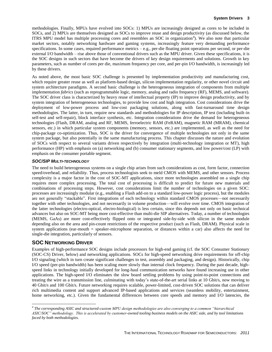methodologies. Finally, MPUs have evolved into SOCs: 1) MPUs are increasingly designed as cores to be included in SOCs, and 2) MPUs are themselves designed as SOCs to improve reuse and design productivity (as discussed below, the ITRS MPU model has multiple processing cores and resembles an SOC in organization<sup>4</sup>). We also note that particular market sectors, notably networking hardware and gaming systems, increasingly feature very demanding performance specifications. In some cases, required performance metrics – e.g., per-die floating point operations per second, or per-die external I/O bandwidth – rise above those of conventional drivers such as the MPU driver. Given these specifications, it is the SOC designs in such sectors that have become the drivers of key design requirements and solutions. Growth in key parameters, such as number of cores per die, maximum frequency per core, and per-pin I/O bandwidth, is increasingly led by these drivers.

As noted above, the most basic SOC challenge is presented by implementation productivity and manufacturing cost, which require greater reuse as well as platform-based design, silicon implementation regularity, or other novel circuit and system architecture paradigms. A second basic challenge is the heterogeneous integration of components from multiple implementation *fabrics* (such as reprogrammable logic, memory, analog and radio frequency (RF), MEMS, and software). The SOC driver class is characterized by heavy reuse of intellectual property (IP) to improve design productivity, and by system integration of heterogeneous technologies, to provide low cost and high integration. Cost considerations drive the deployment of low-power process and low-cost packaging solutions, along with fast-turnaround time design methodologies. The latter, in turn, require new standards and methodologies for IP description, IP test (including built-in self-test and self-repair), block interface synthesis, etc. Integration considerations drive the demand for heterogeneous technologies (Flash, DRAM, analog and RF, MEMS, ferroelectric RAM (FeRAM), magnetic RAM (MRAM), chemical sensors, etc.) in which particular system components (memory, sensors, etc.) are implemented, as well as the need for chip-package co-optimization. Thus, SOC is the driver for convergence of multiple technologies not only in the same system package, but also potentially in the same manufacturing process. This chapter discusses the nature and evolution of SOCs with respect to several variants driven respectively by integration (multi-technology integration or MT), high performance (HP) with emphasis on (a) networking and (b) consumer stationary segments, and low power/cost (LP) with emphasis on the consumer portable segment.

#### *SOC/SIP MULTI-TECHNOLOGY*

The need to build heterogeneous systems on a single chip arises from such considerations as cost, form factor, connection speed/overhead, and reliability. Thus, process technologists seek to meld CMOS with MEMS, and other sensors. Process complexity is a major factor in the cost of SOC-MT applications, since more technologies assembled on a single chip requires more complex processing. The total cost of processing is difficult to predict for future new materials and combinations of processing steps. However, cost considerations limit the number of technologies on a given SOC: processes are increasingly modular (e.g., enabling a Flash add-on to a standard low-power logic process), but the modules are not generally "stackable". First integrations of each technology within standard CMOS processes—not necessarily together with other technologies, and not necessarily in volume production—will evolve over time. CMOS integration of the latter technologies (electro-optical, electro-biological) is less certain, since this depends not only on basic technical advances but also on SOC-MT being more cost-effective than multi-die SIP alternatives. Today, a number of technologies (MEMS, GaAs) are more cost-effectively flipped onto or integrated side-by-side with silicon in the same module depending also on the area and pin-count restrictions of the respective product (such as Flash, DRAM). Physical scale in system applications (ear-mouth = speaker-microphone separation, or distances within a car) also affects the need for single-die integration, particularly of sensors.

## <span id="page-4-0"></span>**SOC NETWORKING DRIVER**

l

Examples of high-performance SOC designs include processors for high-end gaming (cf. the SOC Consumer Stationary (SOC-CS) Driver, below) and networking applications. SOCs for high-speed networking drive requirements for off-chip I/O signaling (which in turn create significant challenges to test, assembly and packaging, and design). Historically, chip I/O speed (per-pin bandwidth) has been scaling more slowly than internal clock frequency. During the past decade, highspeed links in technology initially developed for long-haul communication networks have found increasing use in other applications. The high-speed I/O eliminates the slow board settling problems by using point-to-point connections and treating the wire as a transmission line, culminating with today's state-of-the-art serial links at 10 Gbit/s, now moving to 40 Gbit/s and 100 Gbit/s. Future networking requires scalable, power-limited, cost-driven SOC solutions that can deliver rich multimedia content and support advanced IP-based applications and services (seamless mobility, entertainment, home networking, etc.). Given the fundamental differences between core speeds and memory and I/O latencies, the

*<sup>4</sup> The corresponding ASIC and structured-custom MPU design methodologies are also converging to a common "hierarchical ASIC/SOC" methodology. This is accelerated by customer-owned tooling business models on the ASIC side, and by tool limitations faced by both methodologies.*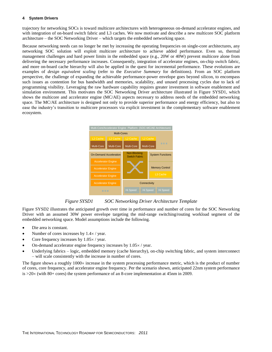trajectory for networking SOCs is toward multicore architectures with heterogeneous on-demand accelerator engines, and with integration of on-board switch fabric and L3 caches. We now motivate and describe a new multicore SOC platform architecture – the SOC Networking Driver – which targets the embedded networking space.

Because networking needs can no longer be met by increasing the operating frequencies on single-core architectures, any networking SOC solution will exploit multicore architecture to achieve added performance. Even so, thermal management challenges and hard power limits in the embedded space (e.g., 20W or 40W) prevent multicore alone from delivering the necessary performance increases. Consequently, integration of accelerator engines, on-chip switch fabric, and more on-board cache hierarchy will also be applied in the quest for incremental performance. These evolutions are examples of *design equivalent scaling* (refer to the *Executive Summary* for definitions). From an SOC platform perspective, the challenge of expanding the achievable performance-power envelope goes beyond silicon, to encompass such issues as contention for bus bandwidth and memories, scalability, and unused processing cycles due to lack of programming visibility. Leveraging the raw hardware capability requires greater investment in software enablement and simulation environment. This motivates the SOC Networking Driver architecture illustrated in Figure SYSD1, which shows the multicore and accelerator engine (MC/AE) aspects necessary to address needs of the embedded networking space. The MC/AE architecture is designed not only to provide superior performance and energy efficiency, but also to ease the industry's transition to multicore processors via explicit investment in the complementary software enablement ecosystem.



*Figure SYSD1 SOC Networking Driver Architecture Template*

<span id="page-5-0"></span>Figure SYSD2 illustrates the anticipated growth over time in performance and number of cores for the SOC Networking Driver with an assumed 30W power envelope targeting the mid-range switching/routing workload segment of the embedded networking space. Model assumptions include the following.

- Die area is constant.
- Number of cores increases by  $1.4 \times /$  year.
- Core frequency increases by  $1.05 \times /$  year.
- On-demand accelerator engine frequency increases by  $1.05 \times /$  year.
- Underlying fabrics logic, embedded memory (cache hierarchy), on-chip switching fabric, and system interconnect – will scale consistently with the increase in number of cores.

The figure shows a roughly  $1000 \times$  increase in the system processing performance metric, which is the product of number of cores, core frequency, and accelerator engine frequency. Per the scenario shown, anticipated 22nm system performance is  $>20 \times$  (with 80+ cores) the system performance of an 8-core implementation at 45nm in 2009.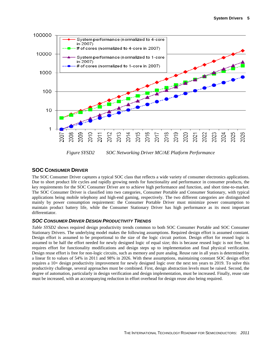

## <span id="page-6-2"></span><span id="page-6-0"></span>**SOC CONSUMER DRIVER**

The SOC Consumer Driver captures a typical SOC class that reflects a wide variety of consumer electronics applications. Due to short product life cycles and rapidly growing needs for functionality and performance in consumer products, the key requirements for the SOC Consumer Driver are to achieve high performance and function, and short time-to-market. The SOC Consumer Driver is classified into two categories, Consumer Portable and Consumer Stationary, with typical applications being mobile telephony and high-end gaming, respectively. The two different categories are distinguished mainly by power consumption requirement: the Consumer Portable Driver must minimize power consumption to maintain product battery life, while the Consumer Stationary Driver has high performance as its most important differentiator.

## <span id="page-6-1"></span>*SOC CONSUMER DRIVER DESIGN PRODUCTIVITY TRENDS*

*Table SYSD2* shows required design productivity trends common to both SOC Consumer Portable and SOC Consumer Stationary Drivers. The underlying model makes the following assumptions. Required design effort is assumed constant. Design effort is assumed to be proportional to the size of the logic circuit portion. Design effort for reused logic is assumed to be half the effort needed for newly designed logic of equal size; this is because reused logic is not free, but requires effort for functionality modifications and design steps up to implementation and final physical verification. Design reuse effort is free for non-logic circuits, such as memory and pure analog. Reuse rate in all years is determined by a linear fit to values of 54% in 2011 and 98% in 2026. With these assumptions, maintaining constant SOC design effort requires a 10× design productivity improvement for newly designed logic over the next ten years to 2019. To solve this productivity challenge, several approaches must be combined. First, design abstraction levels must be raised. Second, the degree of automation, particularly in design verification and design implementation, must be increased. Finally, reuse rate must be increased, with an accompanying reduction in effort overhead for design reuse also being required.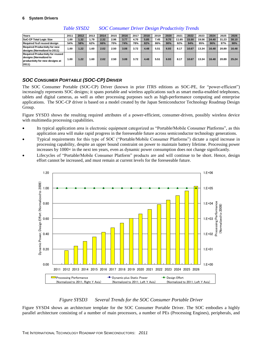<span id="page-7-2"></span>

| Years                                                                                                         | 2011 | 2012 | 2013 | 2014 | 2015 | 2016 | 2017 | 2018 | 2019 | 2020 | 2021  | 2022  | 2023  | 2024  | 2025  | 2026  |
|---------------------------------------------------------------------------------------------------------------|------|------|------|------|------|------|------|------|------|------|-------|-------|-------|-------|-------|-------|
| SoC-CP Total Logic Size                                                                                       | 1.00 | 1.32 | 1.79 | 2.32 | 2.96 | 3.77 | 4.70 | 5.85 | 7.45 | 9.70 | 11.65 | 15.50 | 19.56 | 24.40 | 31.23 | 38.10 |
| Required % of reused design                                                                                   | 54%  | 58%  | 62%  | 66%  | 70%  | 74%  | 78%  | 82%  | 86%  | 90%  | 92%   | 94%   | 95%   | 96%   | 97%   | 98%   |
| <b>Required Productivity for new</b><br>designs (Normalized to 2011)                                          | 1.00 | .22  | .60  | 2.02 | 2.50 | 3.08 | 3.72 | 4.48 | 5.51 | 6.93 | 8.17  | 10.67 | 13.34 | 16.48 | 20.89 | 16.48 |
| <b>Required Productivity for reused</b><br>designs (Normalized to<br>productivity for new designs at<br>2011) | 1.00 | .22  | .60  | 2.02 | 2.50 | 3.08 | 3.72 | 4.48 | 5.51 | 6.93 | 8.17  | 10.67 | 13.34 | 16.48 | 20.89 | 25.24 |

*Table SYSD2 SOC Consumer Driver Design Productivity Trends*

## <span id="page-7-0"></span>*SOC CONSUMER PORTABLE (SOC-CP) DRIVER*

The SOC Consumer Portable (SOC-CP) Driver (known in prior ITRS editions as SOC-PE, for "power-efficient") increasingly represents SOC designs; it spans portable and wireless applications such as smart media-enabled telephones, tablets and digital cameras, as well as other processing purposes such as high-performance computing and enterprise applications. The SOC-CP driver is based on a model created by the Japan Semiconductor Technology Roadmap Design Group.

Figure SYSD3 shows the resulting required attributes of a power-efficient, consumer-driven, possibly wireless device with multimedia processing capabilities.

- Its typical application area is electronic equipment categorized as "Portable/Mobile Consumer Platforms", as this application area will make rapid progress in the foreseeable future across semiconductor technology generations.
- Typical requirements for this type of SOC ("Portable/Mobile Consumer Platforms") dictate a rapid increase in processing capability, despite an upper bound constraint on power to maintain battery lifetime. Processing power increases by  $1000\times$  in the next ten years, even as dynamic power consumption does not change significantly.
- Lifecycles of "Portable/Mobile Consumer Platform" products are and will continue to be short. Hence, design effort cannot be increased, and must remain at current levels for the foreseeable future.



## *Figure SYSD3 Several Trends for the SOC Consumer Portable Driver*

<span id="page-7-1"></span>Figure SYSD4 shows an architecture template for the SOC Consumer Portable Driver. The SOC embodies a highly parallel architecture consisting of a number of main processors, a number of PEs (Processing Engines), peripherals, and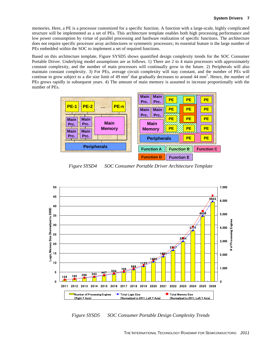memories. Here, a PE is a processor customized for a specific function. A function with a large-scale, highly complicated structure will be implemented as a set of PEs. This architecture template enables both high processing performance and low power consumption by virtue of parallel processing and hardware realization of specific functions. The architecture does not require specific processor array architectures or symmetric processors; its essential feature is the large number of PEs embedded within the SOC to implement a set of required functions.

Based on this architecture template, Figure SYSD5 shows quantified design complexity trends for the SOC Consumer Portable Driver. Underlying model assumptions are as follows. 1) There are 2 to 4 main processors with approximately constant complexity, and the number of main processors will continually grow in the future. 2) Peripherals will also maintain constant complexity. 3) For PEs, average circuit complexity will stay constant, and the number of PEs will continue to grow subject to a die size limit of 49 mm<sup>2</sup> that gradually decreases to around 44 mm<sup>2</sup>. Hence, the number of PEs grows rapidly in subsequent years. 4) The amount of main memory is assumed to increase proportionally with the number of PEs.

|                                              |                                            | --------          |           |                   |  |  |
|----------------------------------------------|--------------------------------------------|-------------------|-----------|-------------------|--|--|
|                                              | <b>Main</b><br><b>Main</b><br>Prc.<br>Prc. | <b>PE</b>         | PE        | <b>PE</b>         |  |  |
| <b>PE-2</b><br>PE-n<br><b>PE-1</b><br>$\sim$ | <b>Main</b><br><b>Main</b>                 | <b>PE</b>         | <b>PE</b> | <b>PE</b>         |  |  |
| <b>Main</b><br><b>Main</b>                   | Prc.<br>Prc.                               | <b>PE</b>         | <b>PE</b> | <b>PE</b>         |  |  |
| <b>Main</b><br>Prc.<br>Prc.<br><b>Memory</b> | <b>Main</b><br><b>Memory</b>               | <b>PE</b>         | <b>PE</b> | <b>PE</b>         |  |  |
| <b>Main</b><br><b>Main</b><br>Prc.<br>Prc.   | <b>Peripherals</b>                         |                   | <b>PE</b> | <b>PE</b>         |  |  |
| <b>Peripherals</b>                           | <b>Function A</b>                          | <b>Function B</b> |           | <b>Function C</b> |  |  |
|                                              | <b>Function D</b>                          | Function E.       |           |                   |  |  |

*Figure SYSD4 SOC Consumer Portable Driver Architecture Template*

<span id="page-8-0"></span>

<span id="page-8-1"></span>*Figure SYSD5 SOC Consumer Portable Design Complexity Trends*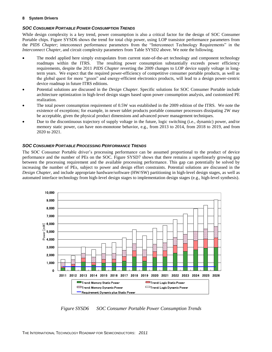## *SOC CONSUMER PORTABLE POWER CONSUMPTION TRENDS*

While design complexity is a key trend, power consumption is also a critical factor for the design of SOC Consumer Portable chips. Figure SYSD6 shows the trend for total chip power, using LOP transistor performance parameters from the *PIDS Chapter*; interconnect performance parameters from the "Interconnect Technology Requirements" in the *Interconnect Chapter*, and circuit complexity parameters from Table SYSD2 above. We note the following.

- The model applied here simply extrapolates from current state-of-the-art technology and component technology roadmaps within the ITRS. The resulting power consumption substantially exceeds power efficiency requirements, despite the 2011 *PIDS Chapter* reverting the 2009 changes to LOP device supply voltage in longterm years. We expect that the required power-efficiency of competitive consumer portable products, as well as the global quest for more "green" and energy-efficient electronics products, will lead to a design power-centric device roadmap in future ITRS editions.
- Potential solutions are discussed in the *Design Chapter.* Specific solutions for SOC Consumer Portable include architecture optimization in high-level design stages based upon power consumption analysis, and customized PE realization.
- The total power consumption requirement of 0.5W was established in the 2009 edition of the ITRS. We note the existence of exceptions; for example, in newer tablet products portable consumer processors dissipating 2W may be acceptable, given the physical product dimensions and advanced power management techniques.
- Due to the discontinuous trajectory of supply voltage in the future, logic switching (i.e., dynamic) power, and/or memory static power, can have non-monotone behavior, e.g., from 2013 to 2014, from 2018 to 2019, and from 2020 to 2021.

## *SOC CONSUMER PORTABLE PROCESSING PERFORMANCE TRENDS*

The SOC Consumer Portable driver's processing performance can be assumed proportional to the product of device performance and the number of PEs on the SOC. Figure SYSD7 shows that there remains a superlinearly growing gap between the processing requirement and the available processing performance. This gap can potentially be solved by increasing the number of PEs, subject to power and design effort constraints. Potential solutions are discussed in the *Design Chapter*, and include appropriate hardware/software (HW/SW) partitioning in high-level design stages, as well as automated interface technology from high-level design stages to implementation design stages (e.g., high-level synthesis).



<span id="page-9-0"></span>*Figure SYSD6 SOC Consumer Portable Power Consumption Trends*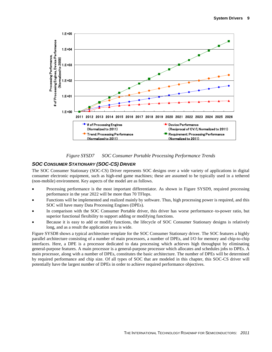



## <span id="page-10-1"></span><span id="page-10-0"></span>*SOC CONSUMER STATIONARY (SOC-CS) DRIVER*

The SOC Consumer Stationary (SOC-CS) Driver represents SOC designs over a wide variety of applications in digital consumer electronic equipment, such as high-end game machines; these are assumed to be typically used in a tethered (non-mobile) environment. Key aspects of the model are as follows.

- Processing performance is the most important differentiator. As shown in Figure SYSD9, required processing performance in the year 2022 will be more than 70 TFlops.
- Functions will be implemented and realized mainly by software. Thus, high processing power is required, and this SOC will have many Data Processing Engines (DPEs).
- In comparison with the SOC Consumer Portable driver, this driver has worse performance–to-power ratio, but superior functional flexibility to support adding or modifying functions.
- Because it is easy to add or modify functions, the lifecycle of SOC Consumer Stationary designs is relatively long, and as a result the application area is wide.

Figure SYSD8 shows a typical architecture template for the SOC Consumer Stationary driver. The SOC features a highly parallel architecture consisting of a number of main processors, a number of DPEs, and I/O for memory and chip-to-chip interfaces. Here, a DPE is a processor dedicated to data processing which achieves high throughput by eliminating general-purpose features. A main processor is a general-purpose processor which allocates and schedules jobs to DPEs. A main processor, along with a number of DPEs, constitutes the basic architecture. The number of DPEs will be determined by required performance and chip size. Of all types of SOC that are modeled in this chapter, this SOC-CS driver will potentially have the largest number of DPEs in order to achieve required performance objectives.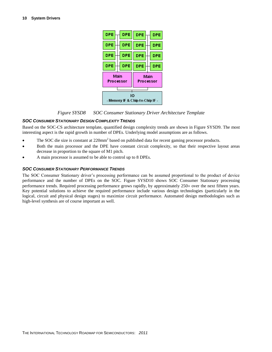

### *Figure SYSD8 SOC Consumer Stationary Driver Architecture Template*

### <span id="page-11-0"></span>*SOC CONSUMER STATIONARY DESIGN COMPLEXITY TRENDS*

Based on the SOC-CS architecture template, quantified design complexity trends are shown in Figure SYSD9. The most interesting aspect is the rapid growth in number of DPEs. Underlying model assumptions are as follows.

- The SOC die size is constant at  $220 \text{mm}^2$  based on published data for recent gaming processor products.
- Both the main processor and the DPE have constant circuit complexity, so that their respective layout areas decrease in proportion to the square of M1 pitch.
- A main processor is assumed to be able to control up to 8 DPEs.

### *SOC CONSUMER STATIONARY PERFORMANCE TRENDS*

The SOC Consumer Stationary driver's processing performance can be assumed proportional to the product of device performance and the number of DPEs on the SOC. Figure SYSD10 shows SOC Consumer Stationary processing performance trends. Required processing performance grows rapidly, by approximately 250 × over the next fifteen years. Key potential solutions to achieve the required performance include various design technologies (particularly in the logical, circuit and physical design stages) to maximize circuit performance. Automated design methodologies such as high-level synthesis are of course important as well.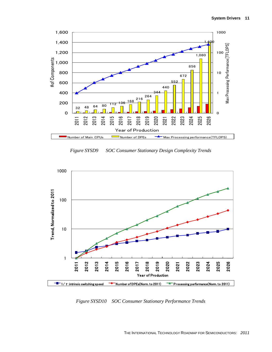

*Figure SYSD9 SOC Consumer Stationary Design Complexity Trends*

<span id="page-12-0"></span>

<span id="page-12-1"></span>*Figure SYSD10 SOC Consumer Stationary Performance Trends*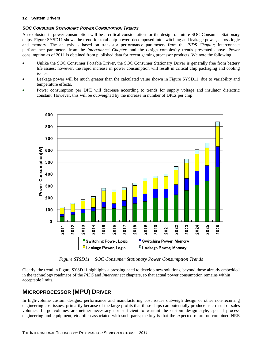### *SOC CONSUMER STATIONARY POWER CONSUMPTION TRENDS*

An explosion in power consumption will be a critical consideration for the design of future SOC Consumer Stationary chips. Figure SYSD11 shows the trend for total chip power, decomposed into switching and leakage power, across logic and memory. The analysis is based on transistor performance parameters from the *PIDS Chapter*; interconnect performance parameters from the *Interconnect Chapter*, and the design complexity trends presented above. Power consumption as of 2011 is obtained from published data for recent gaming processor products. We note the following.

- Unlike the SOC Consumer Portable Driver, the SOC Consumer Stationary Driver is generally free from battery life issues; however, the rapid increase in power consumption will result in critical chip packaging and cooling issues.
- Leakage power will be much greater than the calculated value shown in Figure SYSD11, due to variability and temperature effects.
- Power consumption per DPE will decrease according to trends for supply voltage and insulator dielectric constant. However, this will be outweighed by the increase in number of DPEs per chip.



*Figure SYSD11 SOC Consumer Stationary Power Consumption Trends*

<span id="page-13-1"></span><span id="page-13-0"></span>Clearly, the trend in Figure SYSD11 highlights a pressing need to develop new solutions, beyond those already embedded in the technology roadmaps of the *PIDS* and *Interconnect* chapters, so that actual power consumption remains within acceptable limits.

# **MICROPROCESSOR (MPU) DRIVER**

In high-volume custom designs, performance and manufacturing cost issues outweigh design or other non-recurring engineering cost issues, primarily because of the large profits that these chips can potentially produce as a result of sales volumes. Large volumes are neither necessary nor sufficient to warrant the custom design style, special process engineering and equipment, etc. often associated with such parts; the key is that the expected return on combined NRE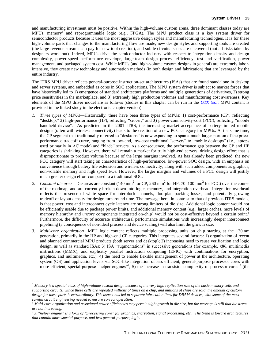and manufacturing investment must be positive. Within the high-volume custom arena, three dominant classes today are MPUs, memory<sup>5</sup> and reprogrammable logic (e.g., FPGA). The MPU product class is a key system driver for semiconductor products because it uses the most aggressive design styles and manufacturing technologies. It is for these high-volume parts that changes to the manufacturing flow are made, new design styles and supporting tools are created (the large revenue streams can pay for new tool creation), and subtle circuits issues are uncovered (not all risks taken by designers work out). Indeed, MPUs drive the semiconductor industry with respect to integration density and design complexity, power-speed performance envelope, large-team design process efficiency, test and verification, power management, and packaged system cost. While MPUs (and high-volume custom designs in general) are extremely laborintensive, they create new technology and automation methods (in both design and fabrication) that are leveraged by the entire industry.

The ITRS MPU driver reflects general-purpose instruction-set architectures (ISAs) that are found standalone in desktop and server systems, and embedded as cores in SOC applications. The MPU system driver is subject to market forces that have historically led to 1) emergence of standard architecture platforms and multiple generations of derivatives, 2) strong price sensitivities in the marketplace, and 3) extremely high production volumes and manufacturing cost awareness. Key elements of the MPU driver model are as follows (studies in this chapter can be run in the *[GTX tool;](http://www.itrs.net/Links/2005ITRS/Linked%20Files/2005Files/Design/Website/GTX/index.html)* MPU content is provided in the linked study in the electronic chapter version).

- *1. Three types of MPUs*—Historically, there have been three types of MPUs: 1) cost-performance (CP), reflecting "desktop," 2) high-performance (HP), reflecting "server," and 3) power-connectivity-cost (PCC), reflecting "mobile handheld device". As predicted in the 2001 ITRS, the increasing market acceptance of battery-limited mobile designs (often with wireless connectivity) leads to the creation of a new PCC category for MPUs. At the same time, the CP segment that traditionally referred to "desktops" is now expanding to span a much larger portion of the priceperformance tradeoff curve, ranging from low-end, low-cost traditional "servers" to "mobile desktops" (i.e., laptops used primarily in AC mode) and "blade" servers. As a consequence, the performance gap between the CP and HP categories is shrinking. However, there will remain a market for truly high-end servers, driving design effort that is disproportionate to product volume because of the large margins involved. As has already been predicted, the new PCC category will start taking on characteristics of high-performance, low-power SOC design, with an emphasis on convenience through battery life extension and wireless connectivity, along with such added components as graphics, non-volatile memory and high speed I/Os. However, the larger margins and volumes of a PCC design will justify much greater design effort compared to a traditional SOC.
- 2. *Constant die area*—Die areas are constant  $(140 \text{ mm}^2 \text{ for CP}, 260 \text{ mm}^2 \text{ for HP}, 70-100 \text{ mm}^2 \text{ for PCC})$  over the course of the roadmap, and are currently broken down into logic, memory, and integration overhead. Integration overhead reflects the presence of white space for interblock channels, floorplan packing losses, and potentially growing tradeoff of layout density for design turnaround time. The message here, in contrast to that of previous ITRS models, is that power, cost and interconnect cycle latency are strong limiters of die size. Additional logic content would not be efficiently usable due to package power limits, and additional memory content (e.g., larger caches, more levels of memory hierarchy and *uncore* components integrated on-chip) would not be cost-effective beyond a certain point.<sup>6</sup> Furthermore, the difficulty of accurate architectural performance simulations with increasingly deeper interconnect pipelining (a consequence of non-ideal process and device scaling) will also limit die growth size.
- *3. Multi-core organization—*MPU logic content reflects multiple processing units on chip starting at the 130 nm generation, primarily in the HP and high-end CP categories. This integrates several factors: 1) organization of recent and planned commercial MPU products (both server and desktop); 2) increasing need to reuse verification and logic design, as well as standard ISAs; 3) ISA "augmentations" in successive generations (for example, x86, multimedia instructions (MMX), and explicitly parallel instruction computing (EPIC) with continuations for encryption, graphics, and multimedia, etc.); 4) the need to enable flexible management of power at the architecture, operating system (OS) and application levels via SOC-like integration of less efficient, general-purpose processor cores with more efficient, special-purpose "helper engines"?; 5) the increase in transistor complexity of processor cores  $8$  (the

l

*<sup>5</sup> Memory is a special class of high-volume custom design because of the very high replication rate of the basic memory cells and supporting circuits. Since these cells are repeated millions of times on a chip, and millions of chips are sold, the amount of custom design for these parts is extraordinary. This aspect has led to separate fabrication lines for DRAM devices, with some of the most careful circuit engineering needed to ensure correct operation.*

*<sup>6</sup> Multi-core organization and associated power efficiencies may permit slight growth in die size, but the message is still that die areas are not increasing.* 

 $^7$  *A* "helper engine" is a form of "processing core" for graphics, encryption, signal processing, etc. The trend is toward architectures *that contain more special-purpose, and less general-purpose, logic.*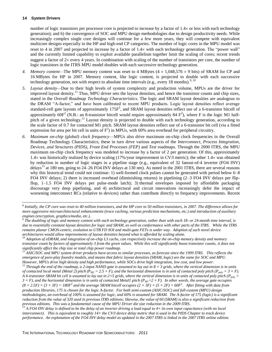l

number of logic transistors per processor core is projected to increase by a factor of  $1.4 \times$  or less with each technology generation); and 6) the convergence of SOC and MPU design methodologies due to design productivity needs. While increasingly complex single core designs will continue for a few more years, they will compete with equivalent multicore designs especially in the HP and high-end CP categories. The number of logic cores in the MPU model was reset to 4 in 2007 and projected to increase by a factor of 1.4 with each technology generation. The "power wall" and the currently limited capability to exploit available parallelism together limit the scaling of cores; recent trends suggest a factor of  $2\times$  every 4 years. In combination with scaling of the number of transistors per core, the number of logic transistors in the ITRS MPU model doubles with each successive technology generation.

- 4. *Memory content*—The MPU memory content was reset to 4 MBytes (4 × 1,048,576 × 9 bits) of SRAM for CP and 16 MBytes for HP in 2007. Memory content, like logic content, is projected to double with each successive technology generation, not with respect to absolute time intervals (e.g., every 18 months).<sup>9, 10</sup>
- *5. Layout density—*Due to their high levels of system complexity and production volume, MPUs are the driver for improved layout density.<sup>11</sup> Thus, MPU driver sets the layout densities, and hence the transistor counts and chip sizes, stated in the *Overall Roadmap Technology Characteristics*. The logic and SRAM layout densities are analogous to the DRAM "A-factor," and have been calibrated to recent MPU products. Logic layout densities reflect average standard-cell gate layouts of approximately 175F<sup>2</sup>, and SRAM layout densities reflect use of a 6-transistor bitcell of approximately 60 $F^2$  (N.B.: an 8-transistor bitcell would require approximately 84  $F^2$ ), where F is the logic M1 halfpitch of a given technology.<sup>12</sup> Layout density is projected to double with each technology generation, according to the scale factor of 0.7 for contacted M1 pitch. SRAM layout densities reflect use of a 6-transistor bit cell (via a fitted expression for area per bit cell in units of  $F^2$ ) in MPUs, with 60% area overhead for peripheral circuitry.
- *6. Maximum on-chip (global) clock frequency*—MPUs also drive maximum on-chip clock frequencies in the Overall Roadmap Technology Characteristics; these in turn drive various aspects of the *Interconnect*, *Process Integration, Devices, and Structures (PIDS), Front End Processes (FEP)* and *Test* roadmaps. Through the 2000 ITRS, the MPU maximum on-chip clock frequency was modeled to increase by a factor of 2 per generation. Of this, approximately 1.4 $\times$  was historically realized by device scaling (17%/year improvement in CV/I metric); the other 1.4 $\times$  was obtained by reduction in number of logic stages in a pipeline stage (e.g., equivalent of 32 fanout-of-4 inverter (FO4 INV) delays<sup>13</sup> at 180 nm, going to 24–26 FO4 INV delays at 130 nm). As noted in the 2001 ITRS, there are several reasons why this historical trend could not continue: 1) well-formed clock pulses cannot be generated with period below 6–8 FO4 INV delays; 2) there is increased overhead (diminishing returns) in pipelining (2–3 FO4 INV delays per flipflop, 1–1.5 FO4 INV delays per pulse-mode latch); 3) thermal envelopes imposed by affordable packaging discourage very deep pipelining, and 4) architectural and circuit innovations increasingly defer the impact of worsening interconnect RCs (relative to devices) rather than contribute directly to frequency improvements. Recent

*<sup>8</sup> Initially, the CP core was reset to 40 million transistors, and the HP core to 50 million transistors, in 2007. The difference allows for more aggressive microarchitectural enhancements (trace caching, various prediction mechanisms, etc.) and introduction of auxiliary engines (encryption, graphics/media, etc.).*

*<sup>9</sup> The doubling of logic and memory content with each technology generation, rather than with each 18- or 24-month time interval, is*  due to essentially constant layout densities for logic and SRAM, as well as conformance with other parts of the ITRS. While the ITRS *remains planar CMOS-centric, evolution to UTB FD SOI and multi-gate FETs is under way. Adoption of such novel device architectures would allow improvements of layout densities beyond what is afforded by scaling alone.*

*<sup>10</sup> Adoption of eDRAM, and integration of on-chip L3 cache, can respectively increase the on-chip memory density and memory transistor count by factors of approximately 3 from the given values. While this will significantly boost transistor counts, it does not significantly affect the chip size or total chip power roadmap.*

*<sup>11</sup> ASIC/SOC and MPU system driver products have access to similar processes, as forecast since the 1999 ITRS. This reflects the emergence of pure-play foundry models, and means that fabric layout densities (SRAM, logic) are the same for SOC and MPU. However, MPUs drive high density and high performance, while SOCs drive high integration, low cost, and low power.* 

<sup>&</sup>lt;sup>12</sup> *Through the end of the roadmap, a 2-input NAND gate is assumed to lay out in*  $8 \times 3$  *grids, where the vertical dimension is in units of contacted local metal (Metal 2) pitch (P<sub><i>M2</sub>* = 2.5 × F), and the horizontal dimension is in unit of contacted poly pitch (P<sub>*poly*</sub> = 3 × F).</sub>  $\hat{A}$  6-transistor SRAM bit cell is assumed to lay out in 2×5 grids, where the vertical dimension is in units of contacted poly pitch ( $P_{poly}$  =  $3 \times F$ ), and the horizontal dimension is in units of contacted Metal1 pitch ( $P_{M1} = 2 \times F$ ). In other words, the average gate occupies  $(8 \times 2.5F) \times (3 \times 3F) = 180F^2$  and the average SRAM bitcell occupies  $(2 \times 3F) \times (5 \times 2F) = 60F^2$ . After fitting with data from *production libraries, 175 is chosen for the logic A-factor. For both semi-custom (ASIC/SOC) and full-custom (MPU) design methodologies, an overhead of 100% is assumed for logic, and 60% is assumed for SRAM. The A-factor of 175 (logic) is a significant reduction from the value of 320 used in previous ITRS editions; likewise, the value of 60 (SRAM) is also a significant reduction from previous editions. This was a fundamental cause of the MPU Driver die size reduction in the 2009 ITRS.*

*<sup>13</sup> A FO4 INV delay is defined to be the delay of an inverter driving a load equal to 4× its own input capacitance (with no local interconnect). This is equivalent to roughly 14× the CV/I device delay metric that is used in the PIDS Chapter to track device performance. An explanation of the FO4 INV delay model as updated in the 2007 ITRS is linked in the 2007 ITRS online edition.*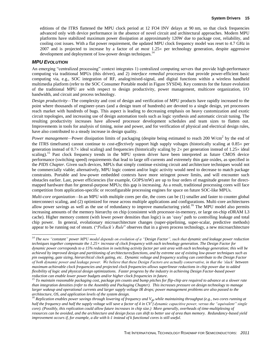editions of the ITRS flattened the MPU clock period at 12 FO4 INV delays at 90 nm, so that clock frequencies advanced only with device performance in the absence of novel circuit and architectural approaches. Modern MPU platforms have stabilized maximum power dissipation at approximately 120W due to package cost, reliability, and cooling cost issues. With a flat power requirement, the updated MPU clock frequency model was reset to 4.7 GHz in 2007 and is projected to increase by a factor of *at most* 1.25 x per technology generation, despite aggressive development and deployment of low-power design techniques.<sup>14</sup>

### *MPU EVOLUTION*

l

An emerging "centralized processing" context integrates 1) centralized computing servers that provide high-performance computing via traditional MPUs (this driver), and 2) *interface remedial processors* that provide power-efficient basic computing via, e.g., SOC integration of RF, analog/mixed-signal, and digital functions within a wireless handheld multimedia platform (refer to the SOC Consumer Portable model in Figure SYSD4). Key contexts for the future evolution of the traditional MPU are with respect to design productivity, power management, multicore organization, I/O bandwidth, and circuit and process technology.

*Design productivity—*The complexity and cost of design and verification of MPU products have rapidly increased to the point where thousands of engineer-years (and a design team of hundreds) are devoted to a single design, yet processors reach market with hundreds of bugs. This aspect is leading to decreasing emphasis on heavy customization and exotic circuit topologies, and increasing use of design automation tools such as logic synthesis and automatic circuit tuning. The resulting productivity increases have allowed processor development schedules and team sizes to flatten out. Improvements in tools for analysis of timing, noise and power, and for verification of physical and electrical design rules, have also contributed to a steady increase in design quality.

*Power management*—Power dissipation limits of packaging (despite being estimated to reach 200 W/cm<sup>2</sup> by the end of the ITRS timeframe) cannot continue to *cost-effectively* support high supply voltages (historically scaling at  $0.85 \times$  per generation instead of  $0.7 \times$  ideal scaling) and frequencies (historically scaling by  $2 \times$  per generation instead of  $1.25 \times$  ideal scaling).<sup>15</sup> Past clock frequency trends in the MPU system driver have been interpreted as future CMOS device performance (switching speed) requirements that lead to large off-currents and extremely thin gate oxides, as specified in the *PIDS Chapter*. Given such devices, MPUs that simply continue existing circuit and architecture techniques would not be commercially viable; alternatively, MPU logic content and/or logic activity would need to decrease to match package constraints. Portable and low-power embedded contexts have more stringent power limits, and will encounter such obstacles earlier. Last, power efficiencies (for example, GOPS/mW) are up to four orders of magnitude greater for directmapped hardware than for general-purpose MPUs; this gap is increasing. As a result, traditional processing cores will face competition from application-specific or reconfigurable processing engines for space on future SOC-like MPUs.

*Multi-core organization*—In an MPU with multiple cores per die, the cores can be (1) smaller and faster to counter global interconnect scaling, and (2) optimized for reuse across multiple applications and configurations. Multi-core architectures allow power savings as well as the use of redundancy to improve manufacturing yield.<sup>16</sup> The MPU model also permits increasing amounts of the memory hierarchy on chip (consistent with processor-in-memory, or large on-chip eDRAM L3 cache). Higher memory content (with lower power densities than logic) is an 'easy' path to controlling leakage and total chip power. In general, evolutionary microarchitecture changes (super-pipelining, super-scalar, predictive methods) appear to be running out of steam. ("*[Pollack's Rule](../../../../../2009/Links/2009ITRS/LinkedFiles/pollack.jpg)*" observes that in a given process technology, a new microarchitecture

*<sup>14</sup> The new "constant" power MPU model depends on evolution of a "Design Factor", such that dynamic and leakage power reduction techniques together compensate the 1.25× increase of clock frequency with each technology generation. The Design Factor for dynamic power corresponds to a 15% reduction in switching activity factor per unit area with each technology generation; this will be achieved by improved design and partitioning of architectures/functions, and by extreme use of existing low-power techniques such as pin swapping, gate sizing, hierarchical clock gating, etc. Dynamic voltage and frequency scaling can contribute to the Design Factor of both dynamic power and leakage power. We believe that these Design Factors are actually conservative, in that the 'slack' between maximum achievable clock frequencies and projected clock frequencies allows superlinear reductions in chip power due to added flexibility of logic and physical design optimizations. Faster progress by the industry in achieving Design Factor-based power reduction can enable lower power budgets and/or higher clock frequencies in future.*

*<sup>15</sup> To maintain reasonable packaging cost, package pin counts and bump pitches for flip-chip are required to advance at a slower rate than integration densities (refer to the Assembly and Packaging Chapter). This increases pressure on design technology to manage larger wakeup and operational currents and larger supply voltage IR drops; power management problems are also passed to the architecture, OS, and application levels of the system design.* 

<sup>&</sup>lt;sup>16</sup> Replication enables power savings through lowering of frequency and V<sub>dd</sub> while maintaining throughput (e.g., two cores running at *half the frequency and half the supply voltage will save a factor of 4 in CV<sup>2</sup> f dynamic capacitive power, versus the "equivalent" single core). (Possibly, this replication could allow future increases in chip size.) More generally, overheads of time-multiplexing of resources can be avoided, and the architecture and design focus can shift to better use of area than memory. Redundancy-based yield improvement occurs if, for example, a die with k-1 instead of k functional cores is still useful.*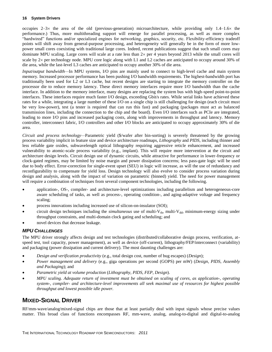occupies  $2-3\times$  the area of the old (previous-generation) microarchitecture, while providing only 1.4–1.6 $\times$  the performance.) Thus, more multithreading support will emerge for parallel processing, as well as more complex "hardwired" functions and/or specialized engines for networking, graphics, security, etc. Flexibility-efficiency tradeoff points will shift away from general-purpose processing, and heterogeneity will generally be in the form of more lowpower small cores coexisting with traditional large cores. Indeed, recent publications suggest that such small cores may dominate MPU scaling. Large cores will scale at a rate less than  $2\times$  per 4 years beyond 2013 while the small cores will scale by  $2\times$  per technology node. MPU core logic along with L1 and L2 caches are anticipated to occupy around 30% of die area, while the last-level L3 caches are anticipated to occupy another 30% of die area.

*Input/output bandwidth—*In MPU systems, I/O pins are mainly used to connect to high-level cache and main system memory. Increased processor performance has been pushing I/O bandwidth requirements. The highest-bandwidth port has traditionally been used for L2 or L3 cache, but recent designs are starting to integrate the memory controller on the processor die to reduce memory latency. These direct memory interfaces require more I/O bandwidth than the cache interface. In addition to the memory interface, many designs are replacing the system bus with high-speed point-to-point interfaces. These interfaces require much faster I/O design, exceeding Gbit/s rates. While serial links have achieved these rates for a while, integrating a large number of these I/O on a single chip is still challenging for design (each circuit must be very low-power), test (a tester is required that can run this fast) and packaging (packages must act as balanced transmission lines, including the connection to the chip and the board). Even I/O interfaces such as PCIe are integrated, leading to more I/O pins and increased packaging costs, along with improvements in throughput and latency. Memory controller, interconnect fabric, I/O controllers and other I/O blocks are anticipated to occupy approximately 30% of die area.

*Circuit and process technology—*Parametric yield (\$/wafer after bin-sorting) is severely threatened by the growing process variability implicit in feature size and device architecture roadmaps, *Lithography* and *PIDS*, including thinner and less reliable gate oxides, subwavelength optical lithography requiring aggressive reticle enhancement, and increased vulnerability to atomic-scale process variability (e.g., implant). This will require more intervention at the circuit and architecture design levels. Circuit design use of dynamic circuits, while attractive for performance in lower-frequency or clock-gated regimes, may be limited by noise margin and power dissipation concerns; less pass-gate logic will be used due to body effect. Error-correction for single-event upset (SEU) in logic will increase, as will the use of redundancy and reconfigurability to compensate for yield loss. Design technology will also evolve to consider process variation during design and analysis, along with the impact of variation on parametric (binned) yield. The need for power management will require a combination of techniques from several component technologies, including the following.

- application-, OS-, compiler- and architecture-level optimizations including parallelism and heterogeneous-core aware scheduling of tasks, as well as process-, operating condition-, and aging-adaptive voltage and frequency scaling;
- process innovations including increased use of silicon-on-insulator (SOI);
- circuit design techniques including the *simultaneous* use of multi- $V_{th}$ , multi- $V_{dd}$ , minimum-energy sizing under throughput constraints, and multi-domain clock gating and scheduling; and
- novel devices that decrease leakage.

## *MPU CHALLENGES*

The MPU driver strongly affects design and test technologies (distributed/collaborative design process, verification, atspeed test, tool capacity, power management), as well as device (off-current), lithography/FEP/interconnect (variability) and packaging (power dissipation and current delivery). The most daunting challenges are:

- *Design and verification productivity* (e.g., total design cost, number of bug escapes) (*Design*);
- *Power management and delivery* (e.g., giga operations per second (GOPS) per mW) (*Design*, *PIDS*, *Assembly and Packaging*); and
- *Parametric yield at volume production* (*Lithography*, *PIDS*, *FEP*, *Design*).
- *MPU scaling. Adequate return of investment must be obtained on scaling of cores, as application-, operating system-, compiler- and architecture-level improvements all seek maximal use of resources for highest possible throughput and lowest possible idle power.*

# <span id="page-17-0"></span>**MIXED-SIGNAL DRIVER**

RF/mm-wave/analog/mixed-signal chips are those that at least partially deal with input signals whose precise values matter. This broad class of functions encompasses RF, mm-wave, analog, analog-to-digital and digital-to-analog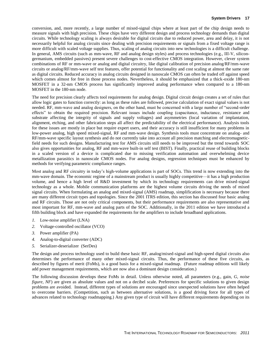conversion, and, more recently, a large number of mixed-signal chips where at least part of the chip design needs to measure signals with high precision. These chips have very different design and process technology demands than digital circuits. While technology scaling is always desirable for digital circuits due to reduced power, area and delay, it is not necessarily helpful for analog circuits since dealing with precision requirements or signals from a fixed voltage range is more difficult with scaled voltage supplies. Thus, scaling of analog circuits into new technologies is a difficult challenge. In general, AMS circuits (such as mm-wave, RF and analog design styles) and process technologies (e.g., III-V, silicongermanium, embedded passives) present severe challenges to cost-effective CMOS integration. However, clever system combinations of RF or mm-wave or analog and digital circuitry, like digital calibration of precision analog/RF/mm-wave circuits or analog/RF/mm-wave self test features, offer potential for functionality and cost scaling at almost the same rate as digital circuits. Reduced accuracy in analog circuits designed in nanoscale CMOS can often be traded off against speed which comes almost for free in those process nodes. Nevertheless, it should be emphasized that a thick-oxide 180-nm MOSFET in a 32-nm CMOS process has significantly improved analog performance when compared to a 180-nm MOSFET in the 180-nm node.

The need for precision clearly affects tool requirements for analog design. Digital circuit design creates a set of rules that allow logic gates to function correctly: as long as these rules are followed, precise calculation of exact signal values is not needed. RF, mm-wave and analog designers, on the other hand, must be concerned with a large number of "second-order effects" to obtain the required precision. Relevant issues include coupling (capacitance, inductance, resistance and substrate affecting the integrity of signals and supply voltages) and asymmetries (local variation of implantation, alignment, etching, and other fabrication steps all affect the predictability of the electrical performance). Analysis tools for these issues are mostly in place but require expert users, and their accuracy is still insufficient for many problems in low-power analog, high speed mixed-signal, RF and mm-wave design. Synthesis tools must concentrate on analog- and RF/mm-wave specific layout synthesis and do not currently take into account all precision matching and electromagneticfield needs for such designs. Manufacturing test for AMS circuits still needs to be improved but the trend towards SOC also gives opportunities for analog, RF and mm-wave built-in self test (BIST). Finally, practical reuse of building blocks in a scaled version of a device is complicated due to missing verification automation and overwhelming device metallization parasitics in nanoscale CMOS nodes. For analog designs, regression techniques must be enhanced by methods for verifying parametric compliance ranges.

Most analog and RF circuitry in today's high-volume applications is part of SOCs. This trend is now extending into the mm-wave domain. The economic regime of a mainstream product is usually highly competitive—it has a high production volume, and hence a high level of R&D investment by which its technology requirements can drive mixed-signal technology as a whole. Mobile communication platforms are the highest volume circuits driving the needs of mixed signal circuits. When formulating an analog and mixed-signal (AMS) roadmap, simplification is necessary because there are many different circuit types and topologies. Since the 2001 ITRS edition, this section has discussed four basic analog and RF circuits. Those are not only critical components, but their performance requirements are also representative and most important for RF, mm-wave and analog parts of the SOC. Additionally, in the 2011 edition we have introduced a fifth building block and have expanded the requirements for the amplifiers to include broadband applications.

- *1.* Low-noise amplifier (LNA)
- *2.* Voltage-controlled oscillator (VCO)
- *3.* Power amplifier (PA)
- *4.* Analog-to-digital converter (ADC)
- *5.* Serializer-deserializer (SerDes)

The design and process technology used to build these basic RF, analog/mixed-signal and high-speed digital circuits also determines the performance of many other mixed-signal circuits. Thus, the performance of these five circuits, as described by figures of merit (FoMs), is a good basis for a mixed-signal roadmap. (Future roadmap editions will likely add power management requirements, which are now also a dominant design consideration.)

The following discussion develops these FoMs in detail. Unless otherwise noted, all parameters (e.g., gain, *G, noise figure, NF*) are given as absolute values and not on a decibel scale. Preferences for specific solutions to given design problems are avoided. Instead, different types of solutions are encouraged since unexpected solutions have often helped to overcome barriers. (Competition, such as between alternative solutions, is a good driving force for all types of advances related to technology roadmapping.) Any given type of circuit will have different requirements depending on its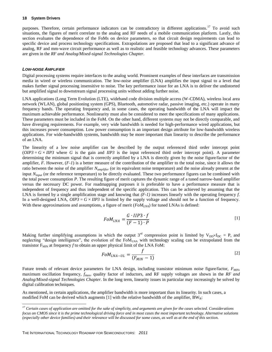purposes. Therefore, certain performance indicators can be contradictory in different applications.<sup>17</sup> To avoid such situations, the figures of merit correlate to the analog and RF needs of a mobile communication platform. Lastly, this section evaluates the dependence of the FoMs on device parameters, so that circuit design requirements can lead to specific device and process technology specifications. Extrapolations are proposed that lead to a significant advance of analog, RF and mm-wave circuit performance as well as to realistic and feasible technology advances. These parameters are given in the *RF and Analog/Mixed-signal Technologies Chapter*.

#### *LOW-NOISE AMPLIFIER*

l

Digital processing systems require interfaces to the analog world. Prominent examples of these interfaces are transmission media in wired or wireless communication. The low-noise amplifier (LNA) amplifies the input signal to a level that makes further signal processing insensitive to noise. The key performance issue for an LNA is to deliver the undistorted but amplified signal to downstream signal processing units without adding further noise.

LNA applications (Long Term Evolution (LTE), wideband code division multiple access (W-CDMA), wireless local area network (WLAN), global positioning system (GPS), Bluetooth, automotive radar, passive imaging, etc.) operate in many frequency bands. The operating frequency and, in some cases, the operating bandwidth of the LNA will impact the maximum achievable performance. Nonlinearity must also be considered to meet the specifications of many applications. These parameters must be included in the FoM. On the other hand, different systems may not be directly comparable, and have diverging requirements. For example, very wide bandwidth is needed for high-performance wired applications, but this increases power consumption. Low power consumption is an important design attribute for low-bandwidth wireless applications. For wide-bandwidth systems, bandwidth may be more important than linearity to describe the performance of an LNA.

The linearity of a low noise amplifier can be described by the output referenced third order intercept point  $(OIP3 = G \times IIP3)$  where *G* is the gain and *IIP3* is the input referenced third order intercept point). A parameter determining the minimum signal that is correctly amplified by a LNA is directly given by the noise figure/factor of the amplifier, *F*. However, (*F-1*) is a better measure of the contribution of the amplifier to the total noise, since it allows the ratio between the noise of the amplifier *Namplifier* (or its equivalent noise temperature) and the noise already present at the input *Ninput* (or the reference temperature) to be directly evaluated. These two performance figures can be combined with the total power consumption *P*. The resulting figure of merit captures the dynamic range of a tuned narrow-band amplifier versus the necessary DC power. For roadmapping purposes it is preferable to have a performance measure that is independent of frequency and thus independent of the specific application. This can be achieved by assuming that the LNA is formed by a single amplification stage and knowing that  $(F-1)$  increases linearly with the operating frequency *f*. In a well-designed LNA,  $OIP3 = G \times IIP3$  is limited by the supply voltage and should not be a function of frequency. With these approximations and assumptions, a figure of merit (*FoMLNA*) for tuned LNAs is defined:

$$
FoM_{LNA} = \frac{G \cdot IIP3 \cdot f}{(F-1) \cdot P} \tag{1}
$$

Making further simplifying assumptions in which the output 3<sup>rd</sup> compression point is limited by  $V_{DD} \times I_{DC} = P$ , and neglecting "design intelligence", the evolution of the  $FoM<sub>LNA</sub>$  with technology scaling can be extrapolated from the transistor  $F_{MIN}$  at frequency  $f$  to obtain an upper physical limit of the LNA FoM:

$$
FoM_{LNA-UL} = \frac{f}{(F_{MIN} - 1)}
$$
\n<sup>(2)</sup>

Future trends of relevant device parameters for LNA design, including transistor minimum noise figure/factor, *FMIN*, maximum oscillation frequency, *f*max, quality factor of inductors, and RF supply voltages are shown in the *RF and [Analog/Mixed-signal Technologies Chapter](../../../2011%20ITRS/2011itrs/Downloads/cmos/2009_Wireless.pdf)*. In the long term, linearity issues in particular may increasingly be solved by digital calibration techniques.

As mentioned, in certain applications, the amplifier bandwidth is more important than its linearity. In such cases, a modified FoM can be derived which augments [1] with the relative bandwidth of the amplifier,  $BW_R$ :

*<sup>17</sup> Certain cases of application are omitted for the sake of simplicity, and arguments are given for the cases selected. Considerations focus on CMOS since it is the prime technological driving force and in most cases the most important technology. Alternative solutions (especially other device families) and their relevance will be discussed for some cases, as well as at the end of this section.*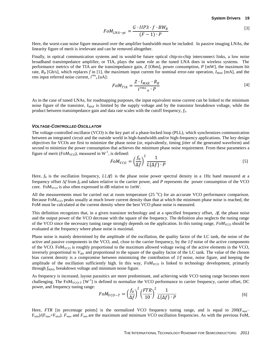$$
FoM_{LNA-pi} = \frac{G \cdot IIP3 \cdot f \cdot BW_R}{(F-1) \cdot P} \tag{3}
$$

Here, the worst-case noise figure measured over the amplifier bandwidth must be included. In passive imaging LNAs, the linearity figure of merit is irrelevant and can be removed altogether.

Finally, in optical communication systems and in would-be future optical chip-to-chip interconnect links, a low noise broadband transimpedance amplifier, or TIA, plays the same role as the tuned LNA does in wireless systems. The performance metrics of the TIA are the transimpedance gain, *Z* [Ohm], power consumption, *P* [mW], the maximum bit rate,  $R_B$  [Gb/s], which replaces f in [1], the maximum input current for nominal error-rate operation,  $I_{MAX}$  [mA], and the rms input referred noise current,  $i^{rms}$ <sub>n</sub>[uA]:

$$
FoM_{TIA} = \frac{Z \cdot I_{MAX} \cdot R_B}{i^{rms}{}_n \cdot P} \tag{4}
$$

As in the case of tuned LNAs, for roadmapping purposes, the input equivalent noise current can be linked to the minimum noise figure of the transistor, *IMAX* is limited by the supply voltage and by the transistor breakdown voltage, while the product between transimpedance gain and data rate scales with the cutoff frequency, *fT*.

#### *VOLTAGE-CONTROLLED OSCILLATOR*

The voltage-controlled oscillator (VCO) is the key part of a phase-locked loop (PLL), which synchronizes communication between an integrated circuit and the outside world in high-bandwidth and/or high-frequency applications. The key design objectives for VCOs are first to minimize the phase noise (or, equivalently, timing jitter of the generated waveform) and second to minimize the power consumption that achieves the minimum phase noise requirement. From these parameters a figure of merit ( $FoM_{VCO}$ ), measured in  $W^{-1}$ , is defined:

$$
FoM_{VCO} = \left(\frac{f_0}{\Delta f}\right)^2 \frac{1}{L\{\Delta f\} \cdot P} \tag{5}
$$

Here,  $f_0$  is the oscillation frequency,  $L\{\Delta f\}$  is the phase noise power spectral density in a 1Hz band measured at a frequency offset  $\Delta f$  from  $f_0$  and taken relative to the carrier power, and *P* represents the power consumption of the VCO core. Fo $M_{VCO}$  is also often expressed in dB relative to 1mW.

All the measurements must be carried out at room temperature  $(25 \degree C)$  for an accurate VCO performance comparison. Because  $FoM_{VCO}$  peaks usually at much lower current density than that at which the minimum phase noise is reached, the FoM must be calculated at the current density where the best VCO phase noise is measured.

This definition recognizes that, in a given transistor technology and at a specified frequency offset,  $\Delta f$ , the phase noise and the output power of the VCO decrease with the square of the frequency. The definition also neglects the tuning range of the VCO since the necessary tuning range strongly depends on the application. In this tuning range, *FoMVCO* should be evaluated at the frequency where phase noise is maximal.

Phase noise is mainly determined by the amplitude of the oscillation, the quality factor of the LC tank, the noise of the active and passive components in the VCO, and, close to the carrier frequency, by the *1/f* noise of the active components of the VCO. FoM<sub>VCO</sub> is roughly proportional to the maximum allowed voltage swing of the active elements in the VCO, inversely proportional to  $V_{dd}$  and proportional to the square of the quality factor of the LC tank. The value of the chosen bias current density is a compromise between minimizing the contribution of *1/f* noise, noise figure, and keeping the amplitude of the oscillation sufficiently high. In this way,  $FOM_{VCO}$  is linked to technology development, primarily through *fMAX*, breakdown voltage and minimum noise figure.

As frequency is increased, layout parasitics are more predominant, and achieving wide VCO tuning range becomes more challenging. The  $FoM_{VCO-T}$  [W<sup>-1</sup>] is defined to normalize the VCO performance to carrier frequency, carrier offset, DC power, and frequency tuning range:  $\overline{2}$ 

$$
FoM_{VCO-T} = \left(\frac{f_0}{\Delta f}\right)^2 \left(\frac{FTR}{10}\right)^2 \frac{1}{L{\{\Delta f\} \cdot P}}
$$
 [6]

Here, *FTR* [in percentage points] is the normalized VCO frequency tuning range, and is equal to  $200(F_{max}$  $F_{min}/(F_{max}+F_{min})$ .  $F_{max}$  and  $F_{min}$  are the maximum and minimum VCO oscillation frequencies. As with the previous FoM,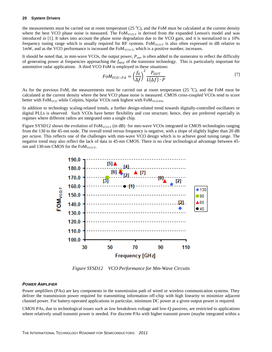the measurements must be carried out at room temperature ( $25^{\circ}$ C), and the FoM must be calculated at the current density where the best VCO phase noise is measured. The  $F_0M_{VCO-T}$  is derived from the expanded Leeson's model and was introduced in [1]. It takes into account the phase noise degradation due to the VCO gain, and it is normalized to a 10% frequency tuning range which is usually required for RF systems.  $FoM_{VCO-T}$  is also often expressed in dB relative to 1mW, and as the VCO performance is increased the  $F^{M}$ <sub>VCO-T</sub>, which is a positive number, increases.

It should be noted that, in mm-wave VCOs, the output power, *Pout*, is often added to the numerator to reflect the difficulty of generating power at frequencies approaching the *fMAX* of the transistor technology. This is particularly important for automotive radar applications. A third VCO FoM is employed in these situations:

$$
FoM_{VCO-PA} = \left(\frac{f_0}{\Delta f}\right)^2 \frac{P_{OUT}}{L{\{\Delta f\} \cdot P}}
$$

As for the previous FoM, the measurements must be carried out at room temperature  $(25 \degree C)$ , and the FoM must be calculated at the current density where the best VCO phase noise is measured. CMOS cross-coupled VCOs tend to score better with  $F \circ M_{VCO}$  while Colpitts, bipolar VCOs rank highest with  $F \circ M_{VCO-PA}$ .

In addition to technology scaling-related trends, a further design-related trend towards digitally-controlled oscillators or digital PLLs is observed. Such VCOs have better flexibility and cost structure; hence, they are preferred especially in regimes where different radios are integrated onto a single chip.

Figure SYSD12 shows the evolution of FoM<sub>VCO-T</sub> (in dB) for mm-wave VCOs integrated in CMOS technologies ranging from the 130 to the 45-nm node. The overall trend versus frequency is negative, with a slope of slightly higher than 20 dB per octave. This reflects one of the challenges with mm-wave VCO design which is to achieve good tuning range. The negative trend may also reflect the lack of data in 45-nm CMOS. There is no clear technological advantage between 45 nm and 130-nm CMOS for the  $F^{OM}_{VCO-T}$ .



*Figure SYSD12 VCO Performance for Mm-Wave Circuits*

#### <span id="page-21-0"></span>*POWER AMPLIFIER*

Power amplifiers (PAs) are key components in the transmission path of wired or wireless communication systems. They deliver the transmission power required for transmitting information off-chip with high linearity to minimize adjacent channel power. For battery-operated applications in particular, minimum DC power at a given output power is required.

CMOS PAs, due to technological issues such as low breakdown voltage and low-Q passives, are restricted to applications where relatively small transmit power is needed. For discrete PAs with higher transmit power (maybe integrated within a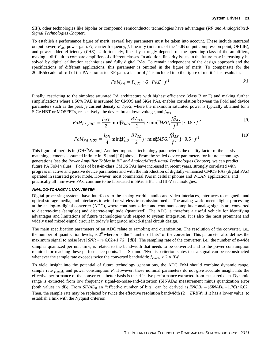SIP), other technologies like bipolar or compound semiconductor technologies have advantages (*RF and Analog/Mixed-Signal Technologies Chapter*).

To establish a performance figure of merit, several key parameters must be taken into account. These include saturated output power, *Pout*, power gain, *G*, carrier frequency, *f*, linearity (in terms of the 1-dB output compression point, OP1dB), and power-added-efficiency (*PAE*). Unfortunately, linearity strongly depends on the operating class of the amplifiers, making it difficult to compare amplifiers of different classes. In addition, linearity issues in the future may increasingly be solved by digital calibration techniques and fully digital PAs. To remain independent of the design approach and the specifications of different applications, this parameter is omitted in the figure of merit. To compensate for the 20 dB/decade roll-off of the PA's transistor RF-gain, a factor of  $f^2$  is included into the figure of merit. This results in:

$$
FoM_{PA} = P_{OUT} \cdot G \cdot PAE \cdot f^2 \tag{8}
$$

Finally, restricting to the simplest saturated PA architecture with highest efficiency (class B or F) and making further simplifications where a 50% PAE is assumed for CMOS and SiGe PAs, enables correlation between the FoM and device parameters such as the peak  $f<sub>T</sub>$  current density or  $I<sub>ON</sub>/2$ , where the maximum saturated power is typically obtained for a SiGe HBT or MOSFETs, respectively, the device breakdown voltage, and *f*max.

$$
FoM_{PA\_HBT} = \frac{J_{pfT}}{2} \min{\{\Psi_{DD}, \frac{BV_{CEO}}{2}\}} \cdot \min{\{\text{MSG}, \frac{f_{MAX}^2}{f^2}\}} \cdot 0.5 \cdot f^2
$$
\n<sup>(9)</sup>

$$
FoM_{PA\_MOS} = \frac{I_{ON}}{4} \min{\{\Psi_{DD}, \frac{BV_{GD}}{2}\}} \cdot \min{\{\text{MSG}, \frac{f_{MAX}^2}{f^2}\}} \cdot 0.5 \cdot f^2
$$
 [10]

This figure of merit is in  $[GHz^2W/mm]$ . Another important technology parameter is the quality factor of the passive matching elements, assumed infinite in [9] and [10] above. From the scaled device parameters for future technology generations (see the *Power Amplifier Tables in RF and Analog/Mixed-signal Technologies Chapter*), we can predict future PA FoM values. FoMs of best-in-class CMOS PAs have increased in recent years, strongly correlated with progress in active and passive device parameters and with the introduction of digitally-enhanced CMOS PAs (digital PAs) operated in saturated power mode. However, most commercial PAs in cellular phones and WLAN applications, and practically all mm-wave PAs, continue to be fabricated in SiGe HBT and III-V technologies.

#### *ANALOG-TO-DIGITAL CONVERTER*

Digital processing systems have interfaces to the analog world—audio and video interfaces, interfaces to magnetic and optical storage media, and interfaces to wired or wireless transmission media. The analog world meets digital processing at the analog-to-digital converter (ADC), where continuous-time and continuous-amplitude analog signals are converted to discrete-time (sampled) and discrete-amplitude (quantized). The ADC is therefore a useful vehicle for identifying advantages and limitations of future technologies with respect to system integration. It is also the most prominent and widely used mixed-signal circuit in today's integrated mixed-signal circuit design.

The main specification parameters of an ADC relate to sampling and quantization. The resolution of the converter, i.e., the number of quantization levels, is  $2^n$  where *n* is the "number of bits" of the converter. This parameter also defines the maximum signal to noise level  $SNR = n \cdot 6.02 + 1.76$  [*dB*]. The sampling rate of the converter, i.e., the number of *n*-wide samples quantized per unit time, is related to the bandwidth that needs to be converted and to the power consumption required for reaching these performance points. The Shannon/Nyquist criterion states that a signal can be reconstructed whenever the sample rate exceeds twice the converted bandwidth:  $f_{\text{sample}} > 2 \times BW$ .

To yield insight into the potential of future technology generations, the ADC FoM should combine dynamic range, sample rate  $f_{\text{sample}}$  and power consumption *P*. However, these nominal parameters do not give accurate insight into the effective performance of the converter; a better basis is the effective performance extracted from measured data. Dynamic range is extracted from low frequency signal-to-noise-and-distortion (SINAD<sub>0</sub>) measurement minus quantization error (both values in dB). From  $SIMAD_0$  an "effective number of bits" can be derived as  $ENOB_0 = (SIMAD_0 - 1.76)/6.02$ . Then, the sample rate may be replaced by twice the effective resolution bandwidth  $(2 \times ERBW)$  if it has a lower value, to establish a link with the Nyquist criterion: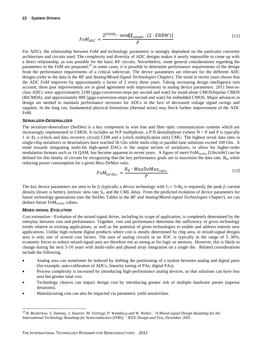$$
FoM_{ADC} = \frac{2^{ENOB_0} \cdot \min\{f_{sample} \ (2 \cdot ERBW)\}}{P}
$$
 [11]

For ADCs, the relationship between FoM and technology parameters is strongly dependent on the particular converter architecture and circuits used. The complexity and diversity of ADC designs makes it nearly impossible to come up with a direct relationship, as was possible for the basic RF circuits. Nevertheless, some general considerations regarding the parameters in the FoM are proposed;<sup>18</sup> in some cases, it is possible to determine performance requirements of the design from the performance requirements of a critical subcircuit. The device parameters are relevant for the different ADC designs (refer to the data in the *RF and Analog/Mixed-Signal Technologies Chapter*). The trend in recent years shows that the ADC FoM improves by approximately a factor of 2 every three years. Taking increasing design intelligence into account, these past improvements are in good agreement with improvements in analog device parameters. 2011 best-inclass ADCs were approximately 2100 [giga-conversion-steps per second and watt] for stand-alone CMOS/bipolar CMOS (BiCMOS), and approximately 800 [giga-conversion-steps per second and watt] for embedded CMOS. Major advances in design are needed to maintain performance increases for ADCs in the face of decreased voltage signal swings and supplies. In the long run, fundamental physical limitations (thermal noise) may block further improvement of the ADC FoM.

### *SERIALIZER-DESERIALIZER*

The serializer-deserializer (SerDes) is a key component in wire line and fiber optic communication systems which are increasingly implemented in CMOS. It includes an N:P multiplexer, a P:N demultiplexer (where  $N > P$  and P is typically 1 or 4), a (clock and data recovery circuit) CDR and a (clock multiplication unit) CMU. The highest serial data rates in single-chip serializers or deserializers have reached 56 Gbs while multi-chip or parallel-lane solutions exceed 100 Gbs. A trend towards integrating multi-bit high-speed DACs in the output section of serializers, to allow for higher-order modulation formats such as 16 QAM, has become apparent in recent years. A figure of merit FoM<sub>SerDes</sub> [Gbs/mW] can be defined for this family of circuits by recognizing that the key performance goals are to maximize the data rate, *RB*, while reducing power consumption for a given Mux-DeMux ratio.

$$
FoM_{SerDes} = \frac{R_B \cdot MuxDeMux_{ratio}}{P}
$$
 [12]

The key device parameters are seen to be  $f_T$  (typically a device technology with  $f_T \geq 3 \times R_B$  is required), the peak  $f_T$  current density (lower is better), intrinsic slew rate *SLi* and the CML delay. From the predicted evolution of device parameters for future technology generations (see the SerDes Tables in the *RF and Analog/Mixed-signal Technologies Chapter*), we can deduce future FoM<sub>SerDes</sub> values.

### *MIXED-SIGNAL EVOLUTION*

*Cost estimation—*Evolution of the mixed-signal driver, including its scope of application, is completely determined by the interplay between cost and performance. Together, cost and performance determine the sufficiency of given technology trends relative to existing applications, as well as the potential of given technologies to enable and address entirely new applications. Unlike high-volume digital products where cost is mostly determined by chip area, in mixed-signal designs area is only one of several cost factors. The area of analog circuits in an SOC is typically in the range of 5–30%; economic forces to reduce mixed-signal area are therefore not as strong as for logic or memory. However, this is likely to change during the next 5-10 years with multi-radio and phased array integration on a single die. Related considerations include the following.

- Analog area can sometimes be reduced by shifting the partitioning of a system between analog and digital parts (for example, auto-calibration of ADCs, linearity tuning of PAs, digital PAs).
- Process complexity is increased by introducing high-performance analog devices, so that solutions can have less area but greater total cost.
- Technology choices can impact design cost by introducing greater risk of multiple hardware passes (tapeout iterations).
- Manufacturing cost can also be impacted via parametric yield sensitivities.

l *<sup>18</sup> R. Brederlow, S. Donnay, J. Sauerer, M. Vertregt, P. Wambacq and W. Weber, "A Mixed-signal Design Roadmap for the International Technology Roadmap for Semiconductors (ITRS)," IEEE Design and Test, December 2001.*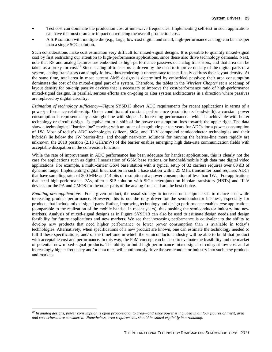- Test cost can dominate the production cost at mm-wave frequencies. Implementing self-test in such applications can have the most dramatic impact on reducing the overall production cost.
- A SIP solution with multiple die (e.g., large, low-cost digital and small, high-performance analog) can be cheaper than a single SOC solution.

Such considerations make cost estimation very difficult for mixed-signal designs. It is possible to quantify mixed-signal cost by first restricting our attention to high-performance applications, since these also drive technology demands. Next, note that RF and analog features are embodied as high-performance passives or analog transistors, and that area can be taken as a proxy for cost.<sup>19</sup> Since scaling of transistors is driven by the need to improve density of the digital parts of a system, analog transistors can simply follow, thus rendering it unnecessary to specifically address their layout density. At the same time, total area in most current AMS designs is determined by embedded passives; their area consumption dominates the cost of the mixed-signal part of a system. Therefore, the tables in the *Wireless Chapter* set a roadmap of layout density for on-chip passive devices that is necessary to improve the cost/performance ratio of high-performance mixed-signal designs. In parallel, serious efforts are on-going to alter system architectures in a direction where passives are replaced by digital circuitry.

*Estimation of technology sufficiency—*Figure SYSD13 shows ADC requirements for recent applications in terms of a power/performance relationship. Under conditions of constant performance (resolution  $\times$  bandwidth), a constant power consumption is represented by a straight line with slope –1. Increasing performance—which is achievable with better technology or circuit design—is equivalent to a shift of the power consumption lines towards the upper right. The data show a technological "barrier-line" moving with an order of magnitude per ten years for ADCs for a power consumption of 1W. Most of today's ADC technologies (silicon, SiGe, and III-V compound semiconductor technologies and their hybrids) lie below the 1W barrier-line, and though near-term solutions for moving the barrier-line more rapidly are unknown, the 2010 position (2.13 GHz/mW) of the barrier enables emerging high data-rate communication fields with acceptable dissipation in the conversion function.

While the rate of improvement in ADC performance has been adequate for handset applications, this is clearly not the case for applications such as digital linearization of GSM base stations, or handheld/mobile high data rate digital video applications. For example, a multi-carrier GSM base station with a typical setup of 32 carriers requires over 80 dB of dynamic range. Implementing digital linearization in such a base station with a 25 MHz transmitter band requires ADCs that have sampling rates of 300 MHz and 14 bits of resolution at a power consumption of less than 1W. For applications that need high-performance PAs, often a SIP solution with SiGe heterojunction bipolar transistors (HBTs) and III-V devices for the PA and CMOS for the other parts of the analog front-end are the best choice.

*Enabling new applications—*For a given product, the usual strategy to increase unit shipments is to reduce cost while increasing product performance. However, this is not the only driver for the semiconductor business, especially for products that include mixed-signal parts. Rather, improving technology and design performance enables *new* applications (comparable to the realization of the mobile handset in recent years), thus pushing the semiconductor industry into new markets. Analysis of mixed-signal designs as in Figure SYSD13 can also be used to estimate design needs and design feasibility for future applications and new markets. We see that increasing performance is equivalent to the ability to develop new products that need higher performance or lower power consumption than is available in today's technologies. Alternatively, when specifications of a new product are known, one can estimate the technology needed to fulfill these specifications, and/ or the timeframe in which the semiconductor industry will be able to build that product with acceptable cost and performance. In this way, the FoM concept can be used to evaluate the feasibility and the market of potential new mixed-signal products. The ability to build high performance mixed-signal circuitry at low cost and at increasingly higher frequency and/or data rates will continuously drive the semiconductor industry into such new products and markets.

 $\overline{a}$ 

*<sup>19</sup> In analog designs, power consumption is often proportional to area—and since power is included in all four figures of merit, area and cost criteria are considered. Nonetheless, area requirements should be stated explicitly in a roadmap.*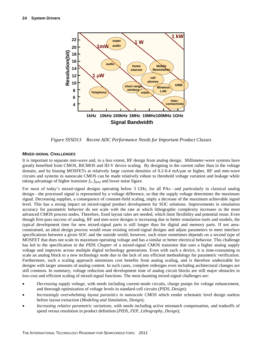

*Figure SYSD13 Recent ADC Performance Needs for Important Product Classes*

## <span id="page-25-0"></span>*MIXED-SIGNAL CHALLENGES*

It is important to separate mm-wave and, to a less extent, RF design from analog design. Millimeter-wave systems have greatly benefited from CMOS, BiCMOS and III-V device scaling. By designing in the current rather than in the voltage domain, and by biasing MOSFETs at relatively large current densities of  $0.2$ -0.4 mA/ $\mu$ m or higher, RF and mm-wave circuits and systems in nanoscale CMOS can be made relatively robust to threshold voltage variation and leakage while taking advantage of higher transistor  $f_T$ ,  $f_{MAX}$  and lower noise figure.

For most of today's mixed-signal designs operating below 3 GHz, for all PAs—and particularly in classical analog design—the processed signal is represented by a voltage difference, so that the supply voltage determines the maximum signal. Decreasing supplies, a consequence of constant-field scaling, imply a decrease of the maximum achievable signal level. This has a strong impact on mixed-signal product development for SOC solutions. Improvements in simulation accuracy for parametric behavior do not scale with the rate at which lithographic complexity increases in the most advanced CMOS process nodes. Therefore, fixed layout rules are needed, which limit flexibility and potential reuse. Even though first-pass success of analog, RF and mm-wave designs is increasing due to better simulation tools and models, the typical development time for new mixed-signal parts is still longer than for digital and memory parts. If not areaconstrained, an ideal design process would reuse existing mixed-signal designs and adjust parameters to meet interface specifications between a given SOC and the outside world; however, such reuse sometimes depends on a second type of MOSFET that does not scale its maximum operating voltage and has a similar or better electrical behavior. This challenge has led to the specification in the *PIDS Chapter* of a mixed-signal CMOS transistor that uses a higher analog supply voltage and improves across multiple digital technology generations. Even with such a device, it is time-consuming to scale an analog block to a new technology node due to the lack of any efficient methodology for parametric verification. Furthermore, such a scaling approach minimizes cost benefits from analog scaling, and is therefore undesirable for designs with larger amounts of analog content. In such cases, complete redesigns even including architectural changes are still common. In summary, voltage reduction and development time of analog circuit blocks are still major obstacles to low-cost and efficient scaling of mixed-signal functions. The most daunting mixed-signal challenges are:

- *Decreasing supply voltage*, with needs including current-mode circuits, charge pumps for voltage enhancement, and thorough optimization of voltage levels in standard-cell circuits (*PIDS*, *Design*);
- *Increasingly overwhelming layout parasitics in nanoscale CMOS* which render schematic level design useless before layout extraction (*Modeling and Simulation*, *Design*);
- *Increasing relative parametric variations*, with needs including active mismatch compensation, and tradeoffs of speed versus resolution in product definition (*PIDS*, *FEP*, *Lithography*, *Design*);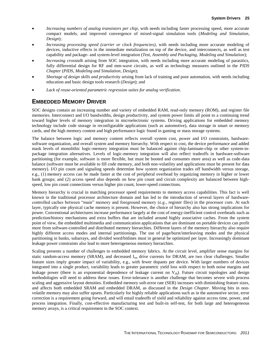- *Increasing numbers of analog transistors per chip*, with needs including faster processing speed, more accurate compact models, and improved convergence of mixed-signal simulation tools (*Modeling and Simulation*, *Design*);
- *Increasing processing speed (carrier or clock frequencies)*, with needs including more accurate modeling of devices, inductive effects in the immediate metalization on top of the device, and interconnects, as well as test capability and package- and system-level integration (*Test*, *Assembly and Packaging*, *Modeling and Simulation*);
- *Increasing crosstalk* arising from SOC integration, with needs including more accurate modeling of parasitics, fully differential design for RF and mm-wave circuits, as well as technology measures outlined in the *PIDS Chapter* (*PIDS*, *Modeling and Simulation*, *Design*);
- *Shortage of design skills and productivity* arising from lack of training and poor automation, with needs including education and basic design tools research (*Design*); and
- *Lack of reuse-oriented parametric regression suites for analog verification*.

# <span id="page-26-0"></span>**EMBEDDED MEMORY DRIVER**

SOC designs contain an increasing number and variety of embedded RAM, read-only memory (ROM), and register file memories. Interconnect and I/O bandwidths, design productivity, and system power limits all point to a continuing trend toward higher levels of memory integration in microelectronic systems. Driving applications for embedded memory technology include code storage in reconfigurable applications (such as automotive), data storage in smart or memory cards, and the high memory content and high performance logic found in gaming or mass storage systems.

The balance between logic and memory content reflects overall system cost, power and I/O constraints, hardwaresoftware organization, and overall system and memory hierarchy. With respect to cost, the device performance and added mask levels of monolithic logic-memory integration must be balanced against chip-laminate-chip or other system-inpackage integration alternatives. Levels of logic-memory integration will also reflect tradeoffs in hardware-software partitioning (for example, software is more flexible, but must be booted and consumes more area) as well as code-data balance (software must be available to fill code memory, and both non-volatility and applications must be present for data memory). I/O pin count and signaling speeds determine how system organization trades off bandwidth versus storage, e.g., (1) memory access can be made faster at the cost of peripheral overhead by organizing memory in higher or lower bank groups; and (2) access speed also depends on how pin count and circuit complexity are balanced between highspeed, low pin count connections versus higher pin count, lower-speed connections.

Memory hierarchy is crucial in matching processor speed requirements to memory access capabilities. This fact is well known in the traditional processor architecture domain and has led to the introduction of several layers of hardwarecontrolled caches between "main" memory and foreground memory (e.g., register files) in the processor core. At each layer, typically one physical cache memory is present. However, the choice of hierarchy also has strong implications for power. Conventional architectures increase performance largely at the cost of energy-inefficient control overheads such as prediction/history mechanisms and extra buffers that are included around highly associative caches. From the system point of view, the embedded multimedia and communication applications that are dominant on portable devices can profit more from software-controlled and distributed memory hierarchies. Different layers of the memory hierarchy also require highly different access modes and internal partitionings. The use of page/burst/interleaving modes and the physical partitioning in banks, subarrays, and divided word/bitlines must in general be optimized per layer. Increasingly dominant leakage power constraints also lead to more heterogeneous memory hierarchies.

Scaling presents a number of challenges to embedded memory fabrics. At the circuit level, amplifier sense margins for static random-access memory (SRAM), and decreased I<sub>on</sub> drive currents for DRAM, are two clear challenges. Smaller feature sizes imply greater impact of variability, e.g., with fewer dopants per device. With larger numbers of devices integrated into a single product, variability leads to greater parametric yield loss with respect to both noise margins and leakage power (there is an exponential dependence of leakage current on  $V_{th}$ ). Future circuit topologies and design methodologies will need to address these issues. Error-tolerance is another challenge that becomes severe with process scaling and aggressive layout densities. Embedded memory soft-error rate (SER) increases with diminishing feature sizes, and affects both embedded SRAM and embedded DRAM, as discussed in the *Design Chapter*. Moving bits in nonvolatile memory may also suffer upsets. Particularly for highly reliable applications such as in the automotive sector, error correction is a requirement going forward, and will entail tradeoffs of yield and reliability against access time, power, and process integration. Finally, cost-effective manufacturing test and built-in self-test, for both large and heterogeneous memory arrays, is a critical requirement in the SOC context.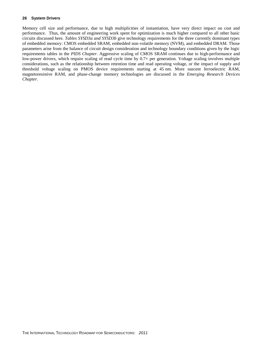Memory cell size and performance, due to high multiplicities of instantiation, have very direct impact on cost and performance. Thus, the amount of engineering work spent for optimization is much higher compared to all other basic circuits discussed here. *Tables SYSD3a and SYSD3b* give technology requirements for the three currently dominant types of embedded memory: CMOS embedded SRAM, embedded non-volatile memory (NVM), and embedded DRAM. Those parameters arise from the balance of circuit design consideration and technology boundary conditions given by the logic requirements tables in the *PIDS Chapter*. Aggressive scaling of CMOS SRAM continues due to high-performance and low-power drivers, which require scaling of read cycle time by  $0.7\times$  per generation. Voltage scaling involves multiple considerations, such as the relationship between retention time and read operating voltage, or the impact of supply and threshold voltage scaling on PMOS device requirements starting at 45 nm. More nascent ferroelectric RAM, magnetoresistive RAM, and phase-change memory technologies are discussed in the *Emerging Research Devices Chapter*.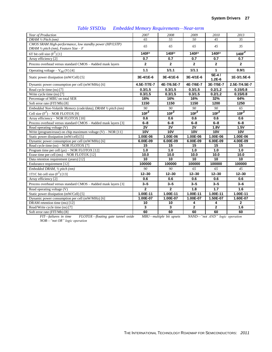<span id="page-28-0"></span>

| Year of Production                                                                                         | 2007                    | 2008                    | 2009              | 2010                | 2013           |
|------------------------------------------------------------------------------------------------------------|-------------------------|-------------------------|-------------------|---------------------|----------------|
| DRAM $\frac{1}{2}$ Pitch (nm)                                                                              | 65                      | 55                      | 50                | 45                  | 35             |
| CMOS SRAM High-performance, low standby power (HP/LSTP)<br>DRAM $\frac{1}{2}$ pitch (nm), Feature Size - F | 65                      | 65                      | 65                | 45                  | 35             |
| 6T bit cell size $(F^2)$ [1]                                                                               | 140F <sup>2</sup>       | 140F <sup>2</sup>       | 140F <sup>2</sup> | 140F <sup>2</sup>   | 140 $F^2$      |
| Array efficiency [2]                                                                                       | 0.7                     | 0.7                     | 0.7               | 0.7                 | 0.7            |
| Process overhead versus standard CMOS - #added mask layers                                                 | $\overline{2}$          | $\overline{2}$          | $\overline{2}$    | $\mathbf{2}$        | $\overline{2}$ |
| Operating voltage $-V_{dd}$ (V) [4]                                                                        | 1.1                     | 1/1.1                   | 1/1.1             | $\mathbf{1}$        | 0.9/1          |
| Static power dissipation (mW/Cell) [5]                                                                     | 3E-4/1E-6               | 3E-4/1E-6               | 3E-4/1E-6         | $5E-4/$<br>$1.2E-6$ | 1E-3/1.5E-6    |
| Dynamic power consumption per cell (mW/MHz) [6]                                                            | 4.5E-7/7E-7             | 4E-7/6.5E-7             | 4E-7/6E-7         | 3E-7/5E-7           | 2.5E-7/4.5E-7  |
| Read cycle time (ns) [7]                                                                                   | 0.3/1.5                 | 0.3/1.5                 | 0.3/1.5           | 0.2/1.2             | 0.15/0.8       |
| Write cycle time (ns) [7]                                                                                  | 0.3/1.5                 | 0.3/1.5                 | 0.3/1.5           | 0.2/1.2             | 0.15/0.8       |
| Percentage of MBU on total SER                                                                             | 16%                     | 16%                     | 16%               | 32%                 | 64%            |
| Soft error rate (FIT/Mb) [8]                                                                               | 1150                    | 1150                    | 1150              | 1200                | 1250           |
| Embedded Non-Volatile Memory (code/data), DRAM 1/2 pitch (nm)                                              | 90                      | 90                      | 90                | 90                  | 65             |
| Cell size $(F^2)$ – NOR FLOTOX [9]                                                                         | 10F <sup>2</sup>        | $10F^2$                 | $10F^2$           | $10F^2$             | $10F^2$        |
| Array efficiency - NOR FLOTOX [10]                                                                         | 0.6                     | 0.6                     | 0.6               | 0.6                 | 0.6            |
| Process overhead versus standard CMOS - #added mask layers [3]                                             | $6 - 8$                 | $6 - 8$                 | $6 - 8$           | $6 - 8$             | $6 - 8$        |
| Read operating voltage (V)                                                                                 | $\overline{2V}$         | $\overline{2V}$         | $\overline{2V}$   | 1.8V                | 1.5V           |
| Write (program/erase) on chip maximum voltage $(V)$ – NOR [11]                                             | 10V                     | 10V                     | 10V               | <b>10V</b>          | <b>10V</b>     |
| Static power dissipation (mW/cell) [5]                                                                     | 1.00E-06                | 1.00E-06                | 1.00E-06          | 1.00E-06            | 1.00E-06       |
| Dynamic power consumption per cell (mW/MHz) [6]                                                            | 6.00E-09                | 6.00E-09                | 6.00E-09          | 6.00E-09            | 4.00E-09       |
| Read cycle time (ns) - NOR FLOTOX [7]                                                                      | 15                      | 15                      | 15                | 15                  | 15             |
| Program time per cell $(\mu s)$ – NOR FLOTOX [12]                                                          | 1.0                     | 1.0                     | 1.0               | 1.0                 | 1.0            |
| Erase time per cell (ms) - NOR FLOTOX [12]                                                                 | 10.0                    | 10.0                    | 10.0              | 10.0                | 10.0           |
| Data retention requirement (years) [12]                                                                    | 10                      | 10                      | 10 <sup>1</sup>   | 10                  | 10             |
| Endurance requirement [12]                                                                                 | 100000                  | 100000                  | 100000            | 100000              | 100000         |
| Embedded DRAM, 1/2 pitch (nm)                                                                              | 90                      | 90                      | 65                | 65                  | 45             |
| 1T1C bit cell size $(F')$ [13]                                                                             | $12 - 30$               | $12 - 30$               | $12 - 30$         | $12 - 30$           | $12 - 30$      |
| Array efficiency [2]                                                                                       | 0.6                     | 0.6                     | 0.6               | 0.6                 | 0.6            |
| Process overhead versus standard CMOS - #added mask layers [3]                                             | $3 - 5$                 | $3 - 5$                 | $3 - 5$           | $3 - 5$             | $3 - 6$        |
| Read operating voltage (V)                                                                                 | $\mathbf{2}$            | $\overline{2}$          | 1.8               | 1.7                 | 1.6            |
| Static power dissipation (mW/Cell) [5]                                                                     | 1.00E-11                | 1.00E-11                | 1.00E-11          | 1.00E-11            | 1.00E-11       |
| Dynamic power consumption per cell (mW/MHz) [6]                                                            | 1.00E-07                | 1.00E-07                | 1.00E-07          | 1.50E-07            | 1.60E-07       |
| DRAM retention time (ms) [12]                                                                              | 10                      | 10                      | 4                 | 4                   | $\mathbf{2}$   |
| Read/Write cycle time (ns) [7]                                                                             | $\overline{\mathbf{3}}$ | $\overline{\mathbf{3}}$ | $\overline{2}$    | $\overline{2}$      | 1.6            |
| Soft error rate (FIT/Mb) [8]                                                                               | 60                      | 60                      | 60                | 60                  | 60             |

# *Table SYSD3a Embedded Memory Requirements—Near-term*

*FIT—failures in time FLOTOX—floating gate tunnel oxide MBU—multiple bit upsets NAND—"not AND" logic operation NOR—"not OR" logic operation*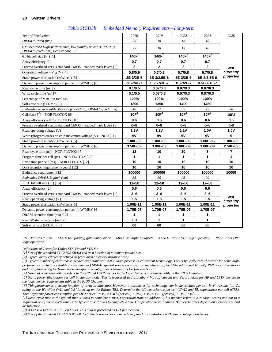<span id="page-29-0"></span>

| Year of Production                                                                                         | 2016             | 2019         | 2022                 | 2024              | 2026                    |
|------------------------------------------------------------------------------------------------------------|------------------|--------------|----------------------|-------------------|-------------------------|
| DRAM $\frac{1}{2}$ Pitch (nm)                                                                              | 25               | 18           | 13                   | 10                |                         |
| CMOS SRAM High-performance, low standby power (HP/LSTP)<br>DRAM $\frac{1}{2}$ pitch (nm), Feature Size - F | 25               | 18           | 13                   | 10                |                         |
| 6T bit cell size $(F^2)$ [1]                                                                               | 140 $F^2$        | $140F^2$     | 140 $\overline{F}^2$ | 140 $F^2$         |                         |
| Array efficiency [2]                                                                                       | 0.7              | 0.7          | 0.7                  | 0.7               |                         |
| Process overhead versus standard CMOS - #added mask layers [3]                                             | $\mathbf{2}$     | $\mathbf{2}$ | $\mathbf{2}$         | $\overline{2}$    | <b>Not</b>              |
| Operating voltage – $V_{dd}$ (V) [4]                                                                       | 0.8/0.9          | 0.7/0.8      | 0.7/0.8              | 0.7/0.8           | currently               |
| Static power dissipation (mW/cell) [5]                                                                     | 2E-3/2E-6        | 3E-3/2.5E-6  | 5E-3/3E-6            | 6E-3/3.5E-6       | projected               |
| Dynamic power consumption per cell (mW/MHz) [6]                                                            | 2E-7/4E-7        | 1.5E-7/3E-7  | 1E-7/2E-7            | $0.5E - 7/1E - 7$ |                         |
| Read cycle time (ns) [7]                                                                                   | 0.1/0.5          | 0.07/0.3     | 0.07/0.3             | 0.07/0.3          |                         |
| Write cycle time (ns) [7]                                                                                  | 0.1/0.5          | 0.07/0.3     | 0.07/0.3             | 0.07/0.3          |                         |
| Percentage of MBU on total SER                                                                             | 100%             | 100%         | 100%                 | 100%              |                         |
| Soft error rate (FIT/Mb) [8]                                                                               | 1300             | 1350         | 1400                 | 1450              |                         |
| Embedded Non-Volatile Memory (code/data), DRAM 1/2 pitch (nm)                                              | 40               | 32           | 32                   | 25                | 20                      |
| Cell size $(F^2)$ – NOR FLOTOX [9]                                                                         | 10F <sup>2</sup> | $10F^2$      | $10F^2$              | 10F <sup>2</sup>  | 10F2                    |
| Array efficiency - NOR FLOTOX [10]                                                                         | 0.6              | 0.6          | 0.6                  | 0.6               | 0.6                     |
| Process overhead versus standard CMOS - #added mask layers [3]                                             | $6 - 8$          | $6 - 8$      | $6 - 8$              | $6 - 8$           | $6 - 8$                 |
| Read operating voltage (V)                                                                                 | 1.3V             | 1.2V         | 1.1V                 | 1.0V              | 1.0V                    |
| Write (program/erase) on chip maximum voltage $(V)$ – NOR [11]                                             | 9V               | 9V           | 9V                   | 9V                | 9                       |
| Static power dissipation (mW/cell) [5]                                                                     | 1.00E-06         | 1.00E-06     | 1.00E-06             | 1.00E-06          | 1.00E-06                |
| Dynamic power consumption per cell (mW/MHz) [6]                                                            | 3.50E-09         | 3.00E-09     | 3.00E-09             | 3.00E-09          | 2.50E-09                |
| Read cycle time (ns) – NOR FLOTOX [7]                                                                      | 12               | 10           | 10                   | 8                 | $\overline{7}$          |
| Program time per cell $(\mu s)$ – NOR FLOTOX [12]                                                          | $\mathbf{1}$     | $\mathbf{1}$ | $\mathbf{1}$         | 1                 | $\mathbf{1}$            |
| Erase time per cell (ms) - NOR FLOTOX [12]                                                                 | 10               | 10           | 10                   | 10                | 10                      |
| Data retention requirement (years) [12]                                                                    | 10               | 10           | 10                   | 10                | 10                      |
| Endurance requirement [12]                                                                                 | 100000           | 100000       | 100000               | 100000            | 10000                   |
| Embedded DRAM, 1/2 pitch (nm)                                                                              | 35               | 25           | 25                   | 20                |                         |
| 1T1C bit cell size $(F^2)$ [13]                                                                            | $12 - 50$        | $12 - 50$    | $12 - 50$            | $12 - 50$         |                         |
| Array efficiency [2]                                                                                       | 0.6              | 0.6          | 0.6                  | 0.6               |                         |
| Process overhead versus standard CMOS - #added mask layers [3]                                             | 3–6              | 3–6          | 3–6                  | 3–6               |                         |
| Read operating voltage (V)                                                                                 | 1.5              | 1.5          | 1.5                  | 1.5               | <b>Not</b><br>currently |
| Static power dissipation (mW/cell) [5]                                                                     | 1.00E-11         | 1.00E-11     | 1.00E-11             | 1.00E-11          | projected               |
| Dynamic power consumption per cell (mW/MHz) [6]                                                            | 1.70E-07         | 1.70E-07     | 1.70E-07             | 1.70E-07          |                         |
| DRAM retention time (ms) [12]                                                                              | 1                | 1            | 1                    | 1                 |                         |
| Read/Write cycle time (ns) [7]                                                                             | 1.3              | $\mathbf{1}$ | $\mathbf{1}$         | $\mathbf{1}$      |                         |
| Soft error rate (FIT/Mb) [8]                                                                               | 60               | 60           | 60                   | 60                |                         |

#### *Table SYSD3b Embedded Memory Requirements—Long-term*

*FIT—failures in time FLOTOX—floating gate tunnel oxide MBU—multiple bit upsets NAND—"not AND" logic operation NOR—"not OR" logic operation* 

*Definitions of Terms for Tables SYSD3a and SYSD3b:*

*[1] Size of the standard 6T CMOS SRAM cell as a function of minimum feature size.*

*[2] Typical array efficiency defined as (core area / memory instance area).*

*[3] Typical number of extra masks needed over standard CMOS logic process in equivalent technology. This is typically zero; however for some highperformance or highly reliable (noise immune) SRAMs special process options are sometimes applied like additional high-Vth PMOS cell transistors and using higher Vdd for better noise margin or zero-Vth access transistors for fast read-out.*

*[4] Nominal operating voltage refers to the HP and LSTP devices in the logic device requirements table in the PIDS Chapter.*

*[5] Static power dissipation per cell in standby mode. This is measured as*  $I$ *\_standby*  $\times$  $V_{dd}$  *(off-current and*  $V_{dd}$  *are taken for <i>HP and LSTP devices in the logic device requirements table in the PIDS Chapter).*

*[6] This parameter is a strong function of array architecture. However, a parameter for technology can be determined per cell level. Assume full Vdd swing on the Wordline (WL) and 0.8 V<sub>dd</sub> swing on the Bitline (BL). Determine the WL capacitance per cell (CWL) and BL capacitance per cell (CBL). Then: dynamic power consumption per MHz per cell =*  $V_{dd} \times CWL$  *(per cell)*  $\times$   $(V_{dd}) + V_{dd} \times CBL$  (per cell)  $\times$   $(V_{dd}) \times 10^6$ .

*[7] Read cycle time is the typical time it takes to complete a READ operation from an address. (This number refers to a random access and not to a sequential one.) Write cycle time is the typical time it takes to complete a WRITE operation to an address. Both cycle times depend on memory size and architecture.*

*[8] A FIT is a failure in 1 billion hours. This data is presented as FIT per megabit.*

*[9] Size of the standard 1T FLOTOX cell. Cell size is somewhat enhanced compared to stand-alone NVM due to integration issues.*